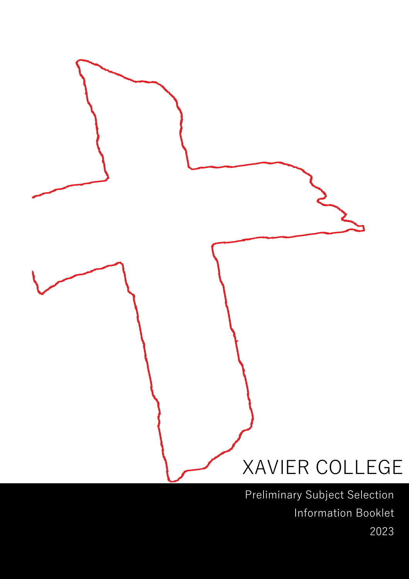

Preliminary Subject Selection Information Booklet 2023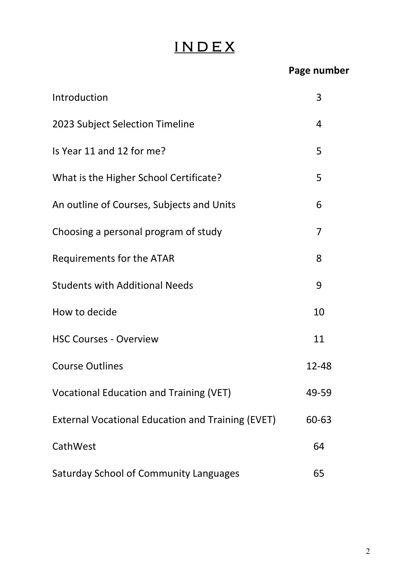## I N D E X

## **Page number**

| Introduction                                             | 3              |
|----------------------------------------------------------|----------------|
| 2023 Subject Selection Timeline                          | $\overline{4}$ |
| Is Year 11 and 12 for me?                                | 5              |
| What is the Higher School Certificate?                   | 5              |
| An outline of Courses, Subjects and Units                | 6              |
| Choosing a personal program of study                     | 7              |
| Requirements for the ATAR                                | 8              |
| <b>Students with Additional Needs</b>                    | 9              |
| How to decide                                            | 10             |
| <b>HSC Courses - Overview</b>                            | 11             |
| <b>Course Outlines</b>                                   | 12-48          |
| <b>Vocational Education and Training (VET)</b>           | 49-59          |
| <b>External Vocational Education and Training (EVET)</b> | 60-63          |
| CathWest                                                 | 64             |
| Saturday School of Community Languages                   | 65             |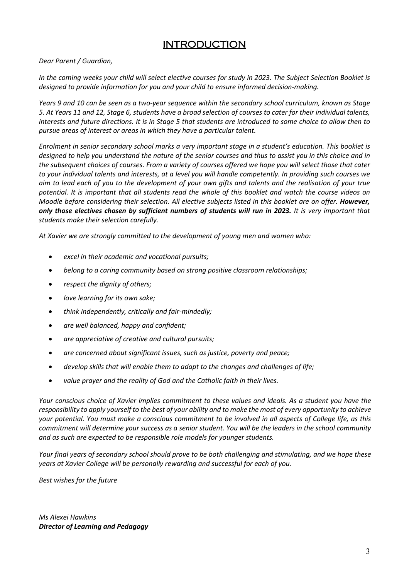### **INTRODUCTION**

*Dear Parent / Guardian,*

*In the coming weeks your child will select elective courses for study in 2023. The Subject Selection Booklet is designed to provide information for you and your child to ensure informed decision-making.*

*Years 9 and 10 can be seen as a two-year sequence within the secondary school curriculum, known as Stage 5. At Years 11 and 12, Stage 6, students have a broad selection of courses to cater for their individual talents, interests and future directions. It is in Stage 5 that students are introduced to some choice to allow then to pursue areas of interest or areas in which they have a particular talent.*

*Enrolment in senior secondary school marks a very important stage in a student's education. This booklet is designed to help you understand the nature of the senior courses and thus to assist you in this choice and in the subsequent choices of courses. From a variety of courses offered we hope you will select those that cater to your individual talents and interests, at a level you will handle competently. In providing such courses we aim to lead each of you to the development of your own gifts and talents and the realisation of your true potential. It is important that all students read the whole of this booklet and watch the course videos on Moodle before considering their selection. All elective subjects listed in this booklet are on offer. However, only those electives chosen by sufficient numbers of students will run in 2023. It is very important that students make their selection carefully.*

*At Xavier we are strongly committed to the development of young men and women who:*

- *excel in their academic and vocational pursuits;*
- *belong to a caring community based on strong positive classroom relationships;*
- *respect the dignity of others;*
- *love learning for its own sake;*
- *think independently, critically and fair-mindedly;*
- *are well balanced, happy and confident;*
- *are appreciative of creative and cultural pursuits;*
- *are concerned about significant issues, such as justice, poverty and peace;*
- *develop skills that will enable them to adapt to the changes and challenges of life;*
- *value prayer and the reality of God and the Catholic faith in their lives.*

*Your conscious choice of Xavier implies commitment to these values and ideals. As a student you have the responsibility to apply yourself to the best of your ability and to make the most of every opportunity to achieve your potential. You must make a conscious commitment to be involved in all aspects of College life, as this commitment will determine your success as a senior student. You will be the leaders in the school community and as such are expected to be responsible role models for younger students.* 

*Your final years of secondary school should prove to be both challenging and stimulating, and we hope these years at Xavier College will be personally rewarding and successful for each of you.* 

*Best wishes for the future*

*Ms Alexei Hawkins Director of Learning and Pedagogy*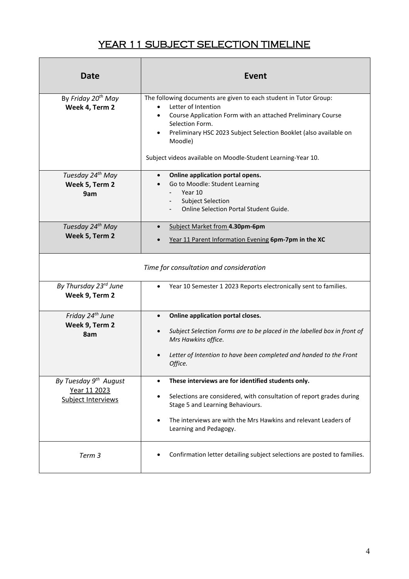## YEAR 11 SUBJECT SELECTION TIMELINE

| <b>Date</b>                                                             | <b>Event</b>                                                                                                                                                                                                                                                                                                                            |
|-------------------------------------------------------------------------|-----------------------------------------------------------------------------------------------------------------------------------------------------------------------------------------------------------------------------------------------------------------------------------------------------------------------------------------|
| By Friday 20 <sup>th</sup> May<br>Week 4, Term 2                        | The following documents are given to each student in Tutor Group:<br>Letter of Intention<br>Course Application Form with an attached Preliminary Course<br>$\bullet$<br>Selection Form.<br>Preliminary HSC 2023 Subject Selection Booklet (also available on<br>Moodle)<br>Subject videos available on Moodle-Student Learning-Year 10. |
| Tuesday 24th May<br>Week 5, Term 2<br>9am                               | Online application portal opens.<br>$\bullet$<br>Go to Moodle: Student Learning<br>Year 10<br><b>Subject Selection</b><br>Online Selection Portal Student Guide.                                                                                                                                                                        |
| Tuesday 24 <sup>th</sup> May<br>Week 5, Term 2                          | Subject Market from 4.30pm-6pm<br>Year 11 Parent Information Evening 6pm-7pm in the XC                                                                                                                                                                                                                                                  |
|                                                                         | Time for consultation and consideration                                                                                                                                                                                                                                                                                                 |
| By Thursday 23rd June<br>Week 9, Term 2                                 | Year 10 Semester 1 2023 Reports electronically sent to families.                                                                                                                                                                                                                                                                        |
| Friday 24 <sup>th</sup> June<br>Week 9, Term 2<br>8am                   | Online application portal closes.<br>$\bullet$<br>Subject Selection Forms are to be placed in the labelled box in front of<br>Mrs Hawkins office.<br>Letter of Intention to have been completed and handed to the Front<br>Office.                                                                                                      |
| By Tuesday 9 <sup>th</sup> August<br>Year 11 2023<br>Subject Interviews | These interviews are for identified students only.<br>$\bullet$<br>Selections are considered, with consultation of report grades during<br>٠<br>Stage 5 and Learning Behaviours.<br>The interviews are with the Mrs Hawkins and relevant Leaders of<br>$\bullet$<br>Learning and Pedagogy.                                              |
| Term 3                                                                  | Confirmation letter detailing subject selections are posted to families.                                                                                                                                                                                                                                                                |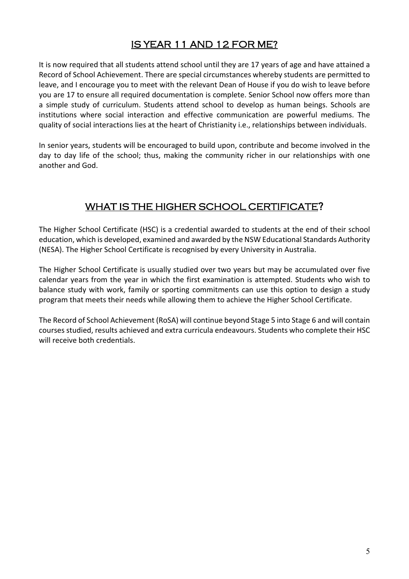## IS YEAR 11 AND 12 FOR ME?

It is now required that all students attend school until they are 17 years of age and have attained a Record of School Achievement. There are special circumstances whereby students are permitted to leave, and I encourage you to meet with the relevant Dean of House if you do wish to leave before you are 17 to ensure all required documentation is complete. Senior School now offers more than a simple study of curriculum. Students attend school to develop as human beings. Schools are institutions where social interaction and effective communication are powerful mediums. The quality of social interactions lies at the heart of Christianity i.e., relationships between individuals.

In senior years, students will be encouraged to build upon, contribute and become involved in the day to day life of the school; thus, making the community richer in our relationships with one another and God.

### WHAT IS THE HIGHER SCHOOL CERTIFICATE?

The Higher School Certificate (HSC) is a credential awarded to students at the end of their school education, which is developed, examined and awarded by the NSW Educational Standards Authority (NESA). The Higher School Certificate is recognised by every University in Australia.

The Higher School Certificate is usually studied over two years but may be accumulated over five calendar years from the year in which the first examination is attempted. Students who wish to balance study with work, family or sporting commitments can use this option to design a study program that meets their needs while allowing them to achieve the Higher School Certificate.

The Record of School Achievement (RoSA) will continue beyond Stage 5 into Stage 6 and will contain courses studied, results achieved and extra curricula endeavours. Students who complete their HSC will receive both credentials.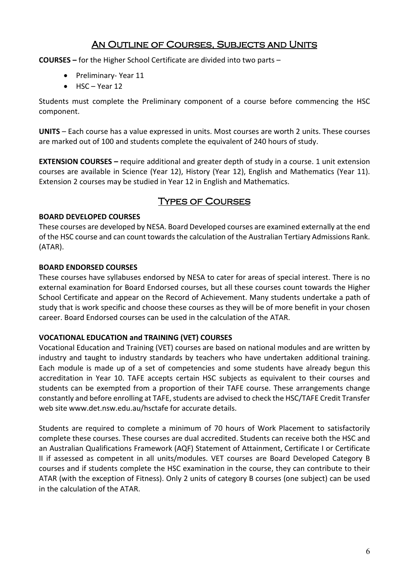#### An Outline of Courses, Subjects and Units

**COURSES –** for the Higher School Certificate are divided into two parts –

- Preliminary- Year 11
- HSC Year 12

Students must complete the Preliminary component of a course before commencing the HSC component.

**UNITS** – Each course has a value expressed in units. Most courses are worth 2 units. These courses are marked out of 100 and students complete the equivalent of 240 hours of study.

**EXTENSION COURSES –** require additional and greater depth of study in a course. 1 unit extension courses are available in Science (Year 12), History (Year 12), English and Mathematics (Year 11). Extension 2 courses may be studied in Year 12 in English and Mathematics.

#### Types of Courses

#### **BOARD DEVELOPED COURSES**

These courses are developed by NESA. Board Developed courses are examined externally at the end of the HSC course and can count towards the calculation of the Australian Tertiary Admissions Rank. (ATAR).

#### **BOARD ENDORSED COURSES**

These courses have syllabuses endorsed by NESA to cater for areas of special interest. There is no external examination for Board Endorsed courses, but all these courses count towards the Higher School Certificate and appear on the Record of Achievement. Many students undertake a path of study that is work specific and choose these courses as they will be of more benefit in your chosen career. Board Endorsed courses can be used in the calculation of the ATAR.

#### **VOCATIONAL EDUCATION and TRAINING (VET) COURSES**

Vocational Education and Training (VET) courses are based on national modules and are written by industry and taught to industry standards by teachers who have undertaken additional training. Each module is made up of a set of competencies and some students have already begun this accreditation in Year 10. TAFE accepts certain HSC subjects as equivalent to their courses and students can be exempted from a proportion of their TAFE course. These arrangements change constantly and before enrolling at TAFE, students are advised to check the HSC/TAFE Credit Transfer web site www.det.nsw.edu.au/hsctafe for accurate details.

Students are required to complete a minimum of 70 hours of Work Placement to satisfactorily complete these courses. These courses are dual accredited. Students can receive both the HSC and an Australian Qualifications Framework (AQF) Statement of Attainment, Certificate I or Certificate II if assessed as competent in all units/modules. VET courses are Board Developed Category B courses and if students complete the HSC examination in the course, they can contribute to their ATAR (with the exception of Fitness). Only 2 units of category B courses (one subject) can be used in the calculation of the ATAR.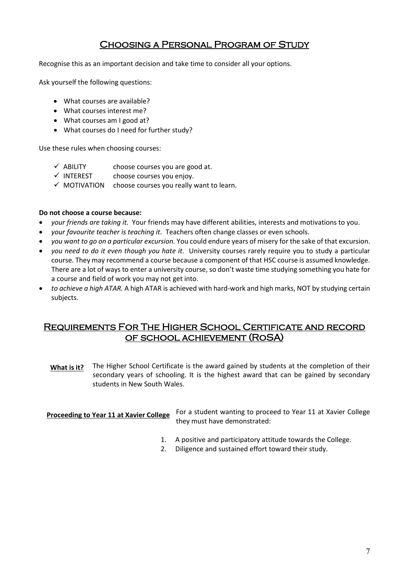#### Choosing a Personal Program of Study

Recognise this as an important decision and take time to consider all your options.

Ask yourself the following questions:

- What courses are available?
- What courses interest me?
- What courses am I good at?
- What courses do I need for further study?

Use these rules when choosing courses:

- $\checkmark$  ABILITY choose courses you are good at.
- $\checkmark$  INTEREST choose courses you enjoy.
- $\checkmark$  MOTIVATION choose courses you really want to learn.

#### **Do not choose a course because:**

- *your friends are taking it.* Your friends may have different abilities, interests and motivations to you.
- *your favourite teacher is teaching it.* Teachers often change classes or even schools.
- *you want to go on a particular excursion.* You could endure years of misery for the sake of that excursion.
- *you need to do it even though you hate it.* University courses rarely require you to study a particular course. They may recommend a course because a component of that HSC course is assumed knowledge. There are a lot of ways to enter a university course, so don't waste time studying something you hate for a course and field of work you may not get into.
- *to achieve a high ATAR.* A high ATAR is achieved with hard-work and high marks, NOT by studying certain subjects.

#### Requirements For The Higher School Certificate and record of school achievement (RoSA)

The Higher School Certificate is the award gained by students at the completion of their secondary years of schooling. It is the highest award that can be gained by secondary students in New South Wales. **What is it?**

#### **Proceeding to Year 11 at Xavier College**

For a student wanting to proceed to Year 11 at Xavier College they must have demonstrated:

- 1. A positive and participatory attitude towards the College.
- 2. Diligence and sustained effort toward their study.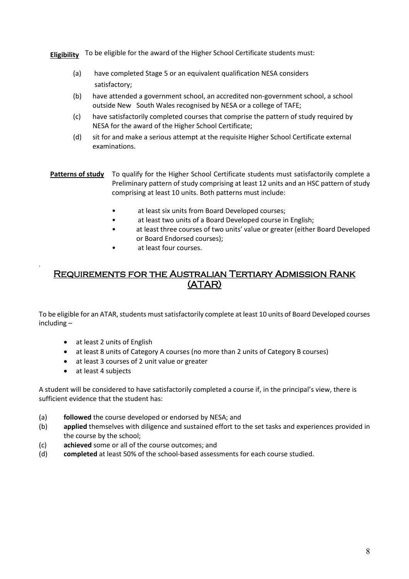**Eligibility** To be eligible for the award of the Higher School Certificate students must:

- (a) have completed Stage 5 or an equivalent qualification NESA considers satisfactory;
- (b) have attended a government school, an accredited non-government school, a school outside New South Wales recognised by NESA or a college of TAFE;
- (c) have satisfactorily completed courses that comprise the pattern of study required by NESA for the award of the Higher School Certificate;
- (d) sit for and make a serious attempt at the requisite Higher School Certificate external examinations.
- Patterns of study To qualify for the Higher School Certificate students must satisfactorily complete a Preliminary pattern of study comprising at least 12 units and an HSC pattern of study comprising at least 10 units. Both patterns must include:
	- at least six units from Board Developed courses;
	- at least two units of a Board Developed course in English;
	- at least three courses of two units' value or greater (either Board Developed or Board Endorsed courses);
	- at least four courses.

#### Requirements for the Australian Tertiary Admission Rank (ATAR)

To be eligible for an ATAR, students must satisfactorily complete at least 10 units of Board Developed courses including –

- at least 2 units of English
- at least 8 units of Category A courses (no more than 2 units of Category B courses)
- at least 3 courses of 2 unit value or greater
- at least 4 subjects

.

A student will be considered to have satisfactorily completed a course if, in the principal's view, there is sufficient evidence that the student has:

- (a) **followed** the course developed or endorsed by NESA; and
- (b) **applied** themselves with diligence and sustained effort to the set tasks and experiences provided in the course by the school;
- (c) **achieved** some or all of the course outcomes; and
- (d) **completed** at least 50% of the school-based assessments for each course studied.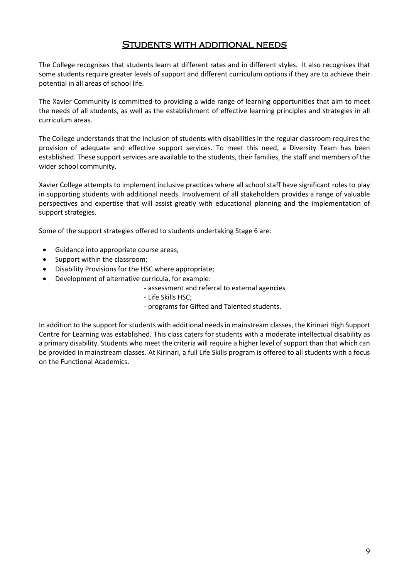#### Students with additional needs

The College recognises that students learn at different rates and in different styles. It also recognises that some students require greater levels of support and different curriculum options if they are to achieve their potential in all areas of school life.

The Xavier Community is committed to providing a wide range of learning opportunities that aim to meet the needs of all students, as well as the establishment of effective learning principles and strategies in all curriculum areas.

The College understands that the inclusion of students with disabilities in the regular classroom requires the provision of adequate and effective support services. To meet this need, a Diversity Team has been established. These support services are available to the students, their families, the staff and members of the wider school community.

Xavier College attempts to implement inclusive practices where all school staff have significant roles to play in supporting students with additional needs. Involvement of all stakeholders provides a range of valuable perspectives and expertise that will assist greatly with educational planning and the implementation of support strategies.

Some of the support strategies offered to students undertaking Stage 6 are:

- Guidance into appropriate course areas;
- Support within the classroom;
- Disability Provisions for the HSC where appropriate;
- Development of alternative curricula, for example:

- assessment and referral to external agencies

- Life Skills HSC;
- programs for Gifted and Talented students.

In addition to the support for students with additional needs in mainstream classes, the Kirinari High Support Centre for Learning was established. This class caters for students with a moderate intellectual disability as a primary disability. Students who meet the criteria will require a higher level of support than that which can be provided in mainstream classes. At Kirinari, a full Life Skills program is offered to all students with a focus on the Functional Academics.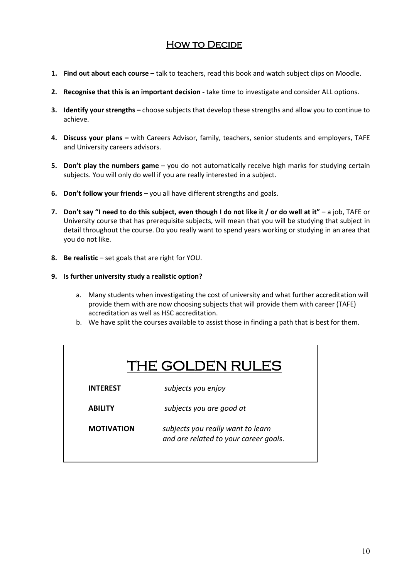#### **HOW TO DECIDE**

- **1. Find out about each course** talk to teachers, read this book and watch subject clips on Moodle.
- **2. Recognise that this is an important decision** take time to investigate and consider ALL options.
- **3. Identify your strengths** choose subjects that develop these strengths and allow you to continue to achieve.
- **4. Discuss your plans** with Careers Advisor, family, teachers, senior students and employers, TAFE and University careers advisors.
- **5. Don't play the numbers game**  you do not automatically receive high marks for studying certain subjects. You will only do well if you are really interested in a subject.
- **6. Don't follow your friends** you all have different strengths and goals.
- **7.** Don't say "I need to do this subject, even though I do not like it / or do well at it" a job, TAFE or University course that has prerequisite subjects, will mean that you will be studying that subject in detail throughout the course. Do you really want to spend years working or studying in an area that you do not like.
- **8. Be realistic** set goals that are right for YOU.
- **9. Is further university study a realistic option?**
	- a. Many students when investigating the cost of university and what further accreditation will provide them with are now choosing subjects that will provide them with career (TAFE) accreditation as well as HSC accreditation.
	- b. We have split the courses available to assist those in finding a path that is best for them.

| THE GOLDEN RULES  |                                                                            |  |
|-------------------|----------------------------------------------------------------------------|--|
| <b>INTEREST</b>   | subjects you enjoy                                                         |  |
| <b>ABILITY</b>    | subjects you are good at                                                   |  |
| <b>MOTIVATION</b> | subjects you really want to learn<br>and are related to your career goals. |  |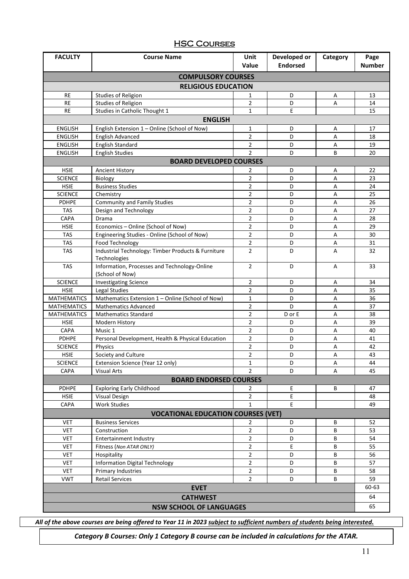#### **HSC COURSES**

| <b>FACULTY</b>                 | <b>Course Name</b>                                                                             | Unit                    | Developed or    | Category | Page          |
|--------------------------------|------------------------------------------------------------------------------------------------|-------------------------|-----------------|----------|---------------|
|                                |                                                                                                | Value                   | <b>Endorsed</b> |          | <b>Number</b> |
|                                | <b>COMPULSORY COURSES</b>                                                                      |                         |                 |          |               |
|                                | <b>RELIGIOUS EDUCATION</b>                                                                     |                         |                 |          |               |
| RE                             | <b>Studies of Religion</b>                                                                     | 1                       | D               | Α        | 13            |
| <b>RE</b>                      | <b>Studies of Religion</b>                                                                     | 2                       | D               | Α        | 14            |
| <b>RE</b>                      | Studies in Catholic Thought 1                                                                  | 1                       | E.              |          | 15            |
|                                | <b>ENGLISH</b>                                                                                 |                         |                 |          |               |
| <b>ENGLISH</b>                 | English Extension 1 - Online (School of Now)                                                   | 1                       | D               | Α        | 17            |
| <b>ENGLISH</b>                 | English Advanced                                                                               | $\overline{2}$          | D               | А        | 18            |
| <b>ENGLISH</b>                 | English Standard                                                                               | $\overline{2}$          | D               | Α        | 19            |
| <b>ENGLISH</b>                 | <b>English Studies</b>                                                                         | $\overline{2}$          | D               | B        | 20            |
|                                | <b>BOARD DEVELOPED COURSES</b>                                                                 |                         |                 |          |               |
| <b>HSIE</b>                    | <b>Ancient History</b>                                                                         | 2                       | D               | Α        | 22            |
| <b>SCIENCE</b>                 | Biology                                                                                        | $\overline{2}$          | D               | А        | 23            |
| <b>HSIE</b>                    | <b>Business Studies</b>                                                                        | $\overline{2}$          | D               | А        | 24            |
| <b>SCIENCE</b>                 | Chemistry                                                                                      | $\overline{2}$          | D               | А        | 25            |
| <b>PDHPE</b>                   | <b>Community and Family Studies</b>                                                            | $\overline{2}$          | D               | Α        | 26            |
| <b>TAS</b>                     | Design and Technology                                                                          | $\overline{2}$          | D               | Α        | 27            |
| <b>CAPA</b>                    | Drama                                                                                          | $\overline{2}$          | D               | Α        | 28            |
| <b>HSIE</b>                    | Economics - Online (School of Now)                                                             | $\overline{2}$          | D               | Α        | 29            |
| <b>TAS</b>                     | Engineering Studies - Online (School of Now)                                                   | $\overline{2}$          | D               | А        | 30            |
| <b>TAS</b>                     | Food Technology                                                                                | $\overline{\mathbf{c}}$ | D               | А        | 31            |
| <b>TAS</b>                     | Industrial Technology: Timber Products & Furniture<br>$\overline{2}$<br>D<br>Α<br>Technologies |                         | 32              |          |               |
| <b>TAS</b>                     | Information, Processes and Technology-Online<br>(School of Now)                                | $\overline{2}$          | D               | Α        | 33            |
| <b>SCIENCE</b>                 | <b>Investigating Science</b>                                                                   | $\overline{2}$          | D               | Α        | 34            |
| <b>HSIE</b>                    | Legal Studies                                                                                  | $\overline{2}$          | D               | А        | 35            |
| <b>MATHEMATICS</b>             | Mathematics Extension 1 - Online (School of Now)                                               | $\mathbf{1}$            | D               | Α        | 36            |
| <b>MATHEMATICS</b>             | $\overline{2}$<br>D<br><b>Mathematics Advanced</b><br>Α                                        |                         |                 | 37       |               |
| <b>MATHEMATICS</b>             | <b>Mathematics Standard</b>                                                                    | $\overline{2}$          | D or E          | Α        | 38            |
| <b>HSIE</b>                    | Modern History                                                                                 | $\overline{2}$          | D               | А        | 39            |
| CAPA                           | Music 1                                                                                        | 2                       | D               | А        | 40            |
| PDHPE                          | Personal Development, Health & Physical Education                                              | $\overline{2}$          | D               | Α        | 41            |
| <b>SCIENCE</b>                 | Physics                                                                                        | $\overline{2}$          | D               | Α        | 42            |
| <b>HSIE</b>                    | Society and Culture                                                                            | $\overline{2}$          | D               | Α        | 43            |
| <b>SCIENCE</b>                 | Extension Science (Year 12 only)                                                               | 1                       | D               | Α        | 44            |
| <b>CAPA</b>                    | <b>Visual Arts</b>                                                                             | $\overline{2}$          | D               | A        | 45            |
|                                | <b>BOARD ENDORSED COURSES</b>                                                                  |                         |                 |          |               |
| <b>PDHPE</b>                   | <b>Exploring Early Childhood</b>                                                               | $\overline{2}$          | E               | В        | 47            |
| <b>HSIE</b>                    | <b>Visual Design</b>                                                                           | $\overline{2}$          | Е               |          | 48            |
| CAPA                           | <b>Work Studies</b>                                                                            | $\mathbf{1}$            | E.              |          | 49            |
|                                | <b>VOCATIONAL EDUCATION COURSES (VET)</b>                                                      |                         |                 |          |               |
| <b>VET</b>                     | <b>Business Services</b>                                                                       | 2                       | D               | В        | 52            |
| <b>VET</b>                     | Construction                                                                                   | 2                       | D               | B        | 53            |
| <b>VET</b>                     | <b>Entertainment Industry</b>                                                                  | 2                       | D               | В        | 54            |
| <b>VET</b>                     | Fitness (Non ATAR ONLY)                                                                        | 2                       | Е               | В        | 55            |
| <b>VET</b>                     | Hospitality                                                                                    | $\mathbf{2}$            | D               | B        | 56            |
| <b>VET</b>                     | <b>Information Digital Technology</b>                                                          | $\overline{2}$          | D               | В        | 57            |
| <b>VET</b>                     | Primary Industries                                                                             | $\overline{2}$          | D               | В        | 58            |
| <b>VWT</b>                     | <b>Retail Services</b>                                                                         | $\overline{2}$          | D               | B        | 59            |
|                                | <b>EVET</b>                                                                                    |                         |                 |          | 60-63         |
|                                | <b>CATHWEST</b>                                                                                |                         |                 |          | 64            |
| <b>NSW SCHOOL OF LANGUAGES</b> |                                                                                                |                         |                 | 65       |               |

*All of the above courses are being offered to Year 11 in 2023 subject to sufficient numbers of students being interested.* 

*Category B Courses: Only 1 Category B course can be included in calculations for the ATAR.*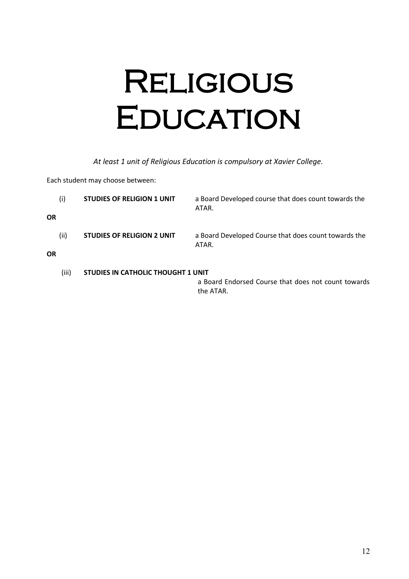## Religious **EDUCATION**

*At least 1 unit of Religious Education is compulsory at Xavier College.*

Each student may choose between:

| (i)               | <b>STUDIES OF RELIGION 1 UNIT</b>  | a Board Developed course that does count towards the<br>ATAR.    |
|-------------------|------------------------------------|------------------------------------------------------------------|
| ΟR                |                                    |                                                                  |
| (ii)<br><b>OR</b> | STUDIES OF RELIGION 2 UNIT         | a Board Developed Course that does count towards the<br>ATAR.    |
| (iii)             | STUDIES IN CATHOLIC THOUGHT 1 UNIT |                                                                  |
|                   |                                    | a Board Endorsed Course that does not count towards<br>the ATAR. |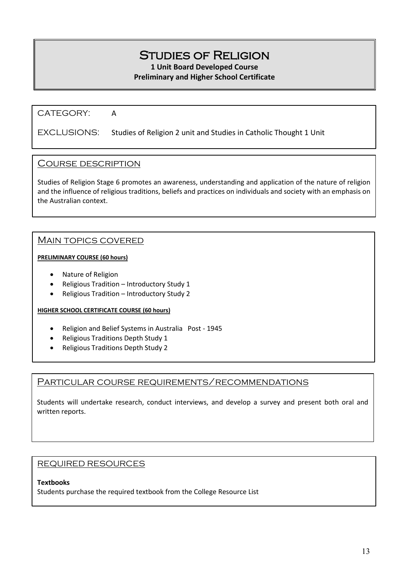## Studies of Religion

**1 Unit Board Developed Course**

#### **Preliminary and Higher School Certificate**

#### CATEGORY: A

#### EXCLUSIONS: Studies of Religion 2 unit and Studies in Catholic Thought 1 Unit

#### Course description

Studies of Religion Stage 6 promotes an awareness, understanding and application of the nature of religion and the influence of religious traditions, beliefs and practices on individuals and society with an emphasis on the Australian context.

#### Main topics covered

#### **PRELIMINARY COURSE (60 hours)**

- Nature of Religion
- Religious Tradition Introductory Study 1
- Religious Tradition Introductory Study 2

#### **HIGHER SCHOOL CERTIFICATE COURSE (60 hours)**

- Religion and Belief Systems in Australia Post 1945
- Religious Traditions Depth Study 1
- Religious Traditions Depth Study 2

#### Particular course requirements/recommendations

Students will undertake research, conduct interviews, and develop a survey and present both oral and written reports.

#### REQUIRED RESOURCES

#### **Textbooks**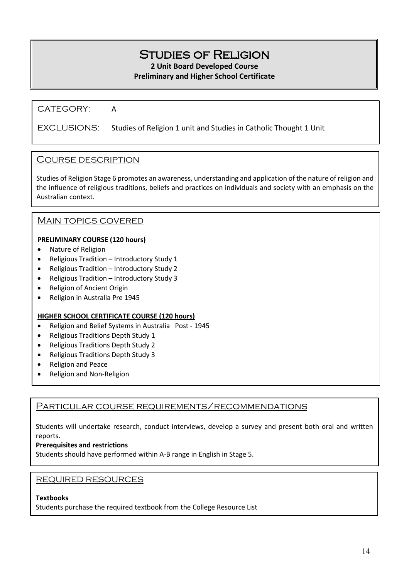## Studies of Religion

**2 Unit Board Developed Course**

#### **Preliminary and Higher School Certificate**

#### CATEGORY: A

#### EXCLUSIONS: Studies of Religion 1 unit and Studies in Catholic Thought 1 Unit

#### Course description

Studies of Religion Stage 6 promotes an awareness, understanding and application of the nature of religion and the influence of religious traditions, beliefs and practices on individuals and society with an emphasis on the Australian context.

#### MAIN TOPICS COVERED

#### **PRELIMINARY COURSE (120 hours)**

- Nature of Religion
- Religious Tradition Introductory Study 1
- Religious Tradition Introductory Study 2
- Religious Tradition Introductory Study 3
- Religion of Ancient Origin
- Religion in Australia Pre 1945

#### **HIGHER SCHOOL CERTIFICATE COURSE (120 hours)**

- Religion and Belief Systems in Australia Post 1945
- Religious Traditions Depth Study 1
- Religious Traditions Depth Study 2
- Religious Traditions Depth Study 3
- Religion and Peace
- Religion and Non-Religion

#### Particular course requirements/recommendations

Students will undertake research, conduct interviews, develop a survey and present both oral and written reports.

#### **Prerequisites and restrictions**

Students should have performed within A-B range in English in Stage 5.

#### REQUIRED RESOURCES

#### **Textbooks**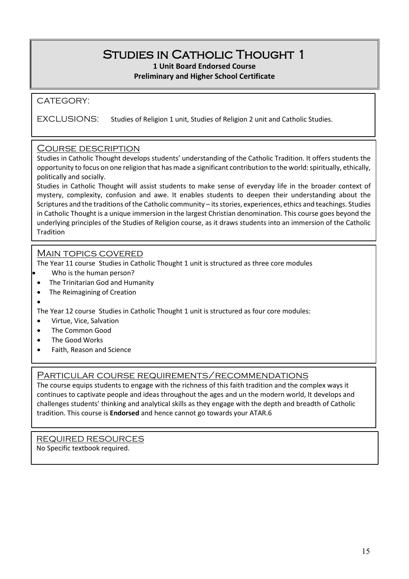## Studies in Catholic Thought 1

**1 Unit Board Endorsed Course Preliminary and Higher School Certificate**

#### CATEGORY:

EXCLUSIONS: Studies of Religion 1 unit, Studies of Religion 2 unit and Catholic Studies.

#### Course description

Studies in Catholic Thought develops students' understanding of the Catholic Tradition. It offers students the opportunity to focus on one religion that has made a significant contribution to the world: spiritually, ethically, politically and socially.

Studies in Catholic Thought will assist students to make sense of everyday life in the broader context of mystery, complexity, confusion and awe. It enables students to deepen their understanding about the Scriptures and the traditions of the Catholic community – its stories, experiences, ethics and teachings. Studies in Catholic Thought is a unique immersion in the largest Christian denomination. This course goes beyond the underlying principles of the Studies of Religion course, as it draws students into an immersion of the Catholic Tradition

#### Main topics covered

The Year 11 course Studies in Catholic Thought 1 unit is structured as three core modules

- Who is the human person?
- The Trinitarian God and Humanity
- The Reimagining of Creation

• The Year 12 course Studies in Catholic Thought 1 unit is structured as four core modules:

- Virtue, Vice, Salvation
- The Common Good
- The Good Works
- Faith, Reason and Science

#### PARTICULAR COURSE REQUIREMENTS/RECOMMENDATIONS

The course equips students to engage with the richness of this faith tradition and the complex ways it continues to captivate people and ideas throughout the ages and un the modern world, It develops and challenges students' thinking and analytical skills as they engage with the depth and breadth of Catholic tradition. This course is **Endorsed** and hence cannot go towards your ATAR.6

REQUIRED RESOURCES No Specific textbook required.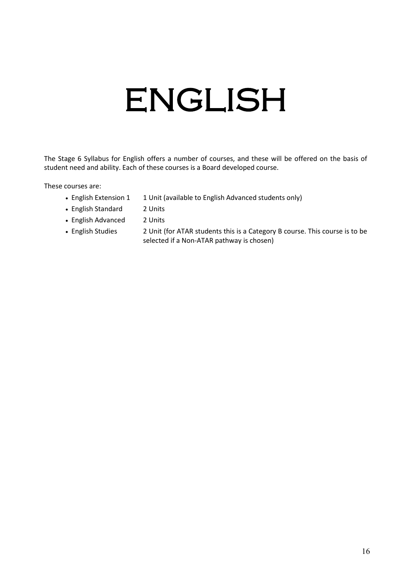# ENGLISH

The Stage 6 Syllabus for English offers a number of courses, and these will be offered on the basis of student need and ability. Each of these courses is a Board developed course.

These courses are:

- English Extension 1 1 Unit (available to English Advanced students only)
- English Standard 2 Units
- English Advanced 2 Units
- English Studies 2 Unit (for ATAR students this is a Category B course. This course is to be selected if a Non-ATAR pathway is chosen)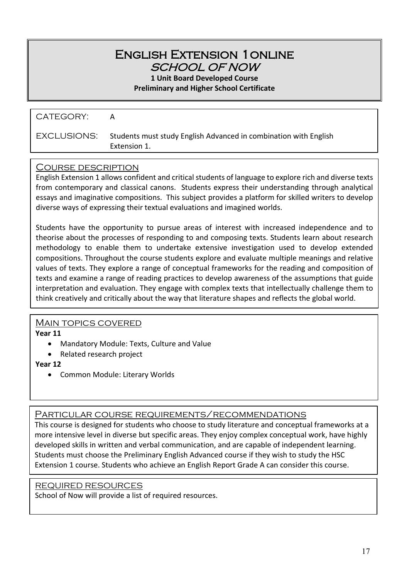### English Extension 1online SCHOOL OF NOW

**1 Unit Board Developed Course**

**Preliminary and Higher School Certificate**

| CATEGORY:   | А                                                                                |
|-------------|----------------------------------------------------------------------------------|
| EXCLUSIONS: | Students must study English Advanced in combination with English<br>Extension 1. |

#### Course description

English Extension 1 allows confident and critical students of language to explore rich and diverse texts from contemporary and classical canons. Students express their understanding through analytical essays and imaginative compositions. This subject provides a platform for skilled writers to develop diverse ways of expressing their textual evaluations and imagined worlds.

Students have the opportunity to pursue areas of interest with increased independence and to theorise about the processes of responding to and composing texts. Students learn about research methodology to enable them to undertake extensive investigation used to develop extended compositions. Throughout the course students explore and evaluate multiple meanings and relative values of texts. They explore a range of conceptual frameworks for the reading and composition of texts and examine a range of reading practices to develop awareness of the assumptions that guide interpretation and evaluation. They engage with complex texts that intellectually challenge them to think creatively and critically about the way that literature shapes and reflects the global world.

#### Main topics covered

**Year 11**

- Mandatory Module: Texts, Culture and Value
- Related research project

**Year 12**

• Common Module: Literary Worlds

#### Particular course requirements/recommendations

This course is designed for students who choose to study literature and conceptual frameworks at a more intensive level in diverse but specific areas. They enjoy complex conceptual work, have highly developed skills in written and verbal communication, and are capable of independent learning. Students must choose the Preliminary English Advanced course if they wish to study the HSC Extension 1 course. Students who achieve an English Report Grade A can consider this course.

#### REQUIRED RESOURCES

School of Now will provide a list of required resources.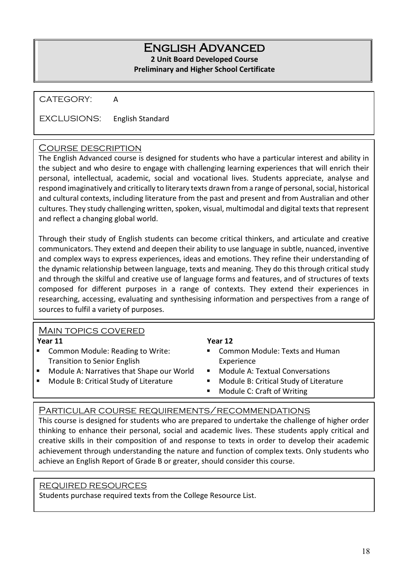#### English Advanced **2 Unit Board Developed Course Preliminary and Higher School Certificate**

CATEGORY: A

EXCLUSIONS: English Standard

#### Course description

The English Advanced course is designed for students who have a particular interest and ability in the subject and who desire to engage with challenging learning experiences that will enrich their personal, intellectual, academic, social and vocational lives. Students appreciate, analyse and respond imaginatively and critically to literary texts drawn from a range of personal, social, historical and cultural contexts, including literature from the past and present and from Australian and other cultures. They study challenging written, spoken, visual, multimodal and digital texts that represent and reflect a changing global world.

Through their study of English students can become critical thinkers, and articulate and creative communicators. They extend and deepen their ability to use language in subtle, nuanced, inventive and complex ways to express experiences, ideas and emotions. They refine their understanding of the dynamic relationship between language, texts and meaning. They do this through critical study and through the skilful and creative use of language forms and features, and of structures of texts composed for different purposes in a range of contexts. They extend their experiences in researching, accessing, evaluating and synthesising information and perspectives from a range of sources to fulfil a variety of purposes.

#### Main topics covered

**Year 11**

- Common Module: Reading to Write: Transition to Senior English
- Module A: Narratives that Shape our World
- Module B: Critical Study of Literature

#### **Year 12**

- Common Module: Texts and Human Experience
- Module A: Textual Conversations
- **Module B: Critical Study of Literature**
- Module C: Craft of Writing

#### Particular course requirements/recommendations

This course is designed for students who are prepared to undertake the challenge of higher order thinking to enhance their personal, social and academic lives. These students apply critical and creative skills in their composition of and response to texts in order to develop their academic achievement through understanding the nature and function of complex texts. Only students who achieve an English Report of Grade B or greater, should consider this course.

#### REQUIRED RESOURCES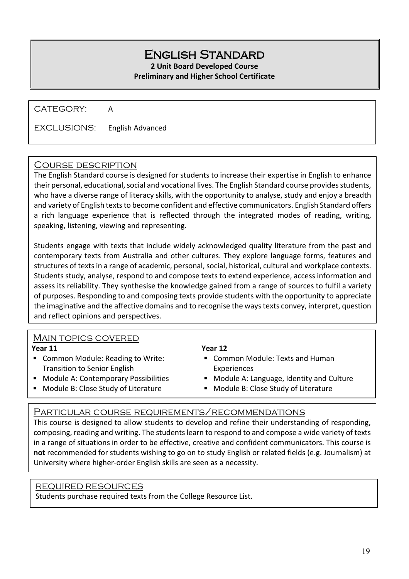## English Standard

**2 Unit Board Developed Course**

#### **Preliminary and Higher School Certificate**

CATEGORY: A

EXCLUSIONS: English Advanced

#### Course description

The English Standard course is designed for students to increase their expertise in English to enhance their personal, educational, social and vocational lives. The English Standard course provides students, who have a diverse range of literacy skills, with the opportunity to analyse, study and enjoy a breadth and variety of English texts to become confident and effective communicators. English Standard offers a rich language experience that is reflected through the integrated modes of reading, writing, speaking, listening, viewing and representing.

Students engage with texts that include widely acknowledged quality literature from the past and contemporary texts from Australia and other cultures. They explore language forms, features and structures of texts in a range of academic, personal, social, historical, cultural and workplace contexts. Students study, analyse, respond to and compose texts to extend experience, access information and assess its reliability. They synthesise the knowledge gained from a range of sources to fulfil a variety of purposes. Responding to and composing texts provide students with the opportunity to appreciate the imaginative and the affective domains and to recognise the ways texts convey, interpret, question and reflect opinions and perspectives.

#### MAIN TOPICS COVERED

**Year 11**

- Common Module: Reading to Write: Transition to Senior English
- **Module A: Contemporary Possibilities**
- **Module B: Close Study of Literature**

#### **Year 12**

- Common Module: Texts and Human Experiences
- **Module A: Language, Identity and Culture**
- **Module B: Close Study of Literature**

j

#### Particular course requirements/recommendations

This course is designed to allow students to develop and refine their understanding of responding, composing, reading and writing. The students learn to respond to and compose a wide variety of texts in a range of situations in order to be effective, creative and confident communicators. This course is **not** recommended for students wishing to go on to study English or related fields (e.g. Journalism) at University where higher-order English skills are seen as a necessity.

#### REQUIRED RESOURCES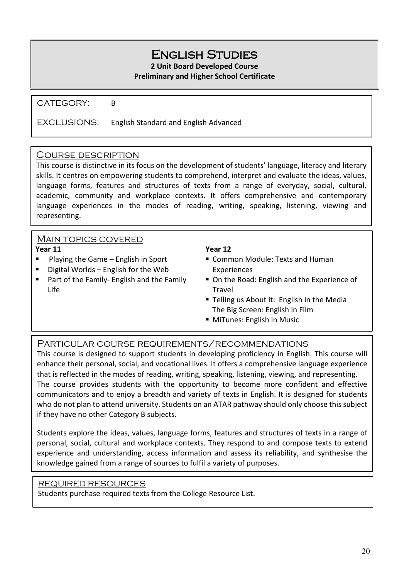## English Studies

**2 Unit Board Developed Course**

#### **Preliminary and Higher School Certificate**

CATEGORY: B

EXCLUSIONS: English Standard and English Advanced

#### Course description

This course is distinctive in its focus on the development of students' language, literacy and literary skills. It centres on empowering students to comprehend, interpret and evaluate the ideas, values, language forms, features and structures of texts from a range of everyday, social, cultural, academic, community and workplace contexts. It offers comprehensive and contemporary language experiences in the modes of reading, writing, speaking, listening, viewing and representing.

#### Main topics covered

#### **Year 11**

- Playing the Game English in Sport
- $\blacksquare$  Digital Worlds English for the Web
- **Part of the Family- English and the Family** Life

#### **Year 12**

- Common Module: Texts and Human **Experiences**
- On the Road: English and the Experience of Travel
- **Telling us About it: English in the Media** The Big Screen: English in Film
- **MiTunes: English in Music**

#### Particular course requirements/recommendations

This course is designed to support students in developing proficiency in English. This course will enhance their personal, social, and vocational lives. It offers a comprehensive language experience that is reflected in the modes of reading, writing, speaking, listening, viewing, and representing. The course provides students with the opportunity to become more confident and effective communicators and to enjoy a breadth and variety of texts in English. It is designed for students who do not plan to attend university. Students on an ATAR pathway should only choose this subject if they have no other Category B subjects.

Students explore the ideas, values, language forms, features and structures of texts in a range of personal, social, cultural and workplace contexts. They respond to and compose texts to extend experience and understanding, access information and assess its reliability, and synthesise the knowledge gained from a range of sources to fulfil a variety of purposes.

#### REQUIRED RESOURCES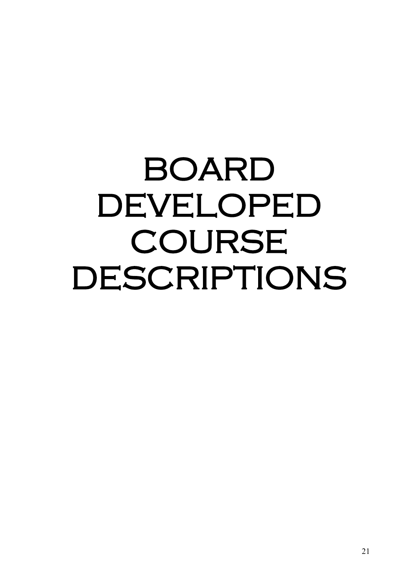## BOARD DEVELOPED COURSE DESCRIPTIONS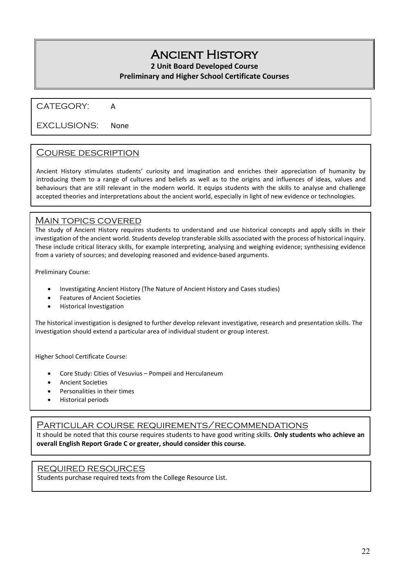## Ancient History

**2 Unit Board Developed Course**

#### **Preliminary and Higher School Certificate Courses**

CATEGORY: A

EXCLUSIONS: None

#### Course description

Ancient History stimulates students' curiosity and imagination and enriches their appreciation of humanity by introducing them to a range of cultures and beliefs as well as to the origins and influences of ideas, values and behaviours that are still relevant in the modern world. It equips students with the skills to analyse and challenge accepted theories and interpretations about the ancient world, especially in light of new evidence or technologies.

#### **MAIN TOPICS COVERED**

The study of Ancient History requires students to understand and use historical concepts and apply skills in their investigation of the ancient world. Students develop transferable skills associated with the process of historical inquiry. These include critical literacy skills, for example interpreting, analysing and weighing evidence; synthesising evidence from a variety of sources; and developing reasoned and evidence-based arguments.

Preliminary Course:

- Investigating Ancient History (The Nature of Ancient History and Cases studies)
- Features of Ancient Societies
- Historical Investigation

The historical investigation is designed to further develop relevant investigative, research and presentation skills. The investigation should extend a particular area of individual student or group interest.

Higher School Certificate Course:

- Core Study: Cities of Vesuvius Pompeii and Herculaneum
- Ancient Societies
- Personalities in their times
- Historical periods

#### Particular course requirements/recommendations

It should be noted that this course requires students to have good writing skills. **Only students who achieve an overall English Report Grade C or greater, should consider this course.**

#### REQUIRED RESOURCES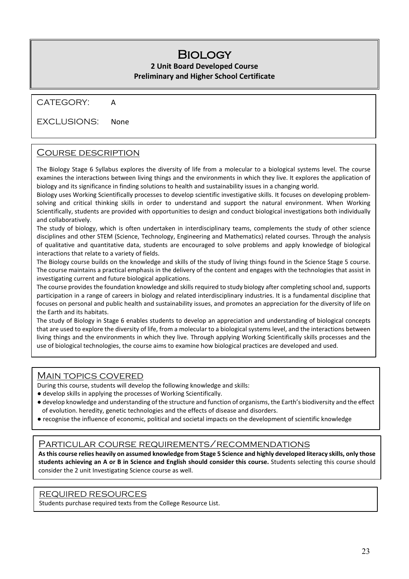#### **BIOLOGY 2 Unit Board Developed Course Preliminary and Higher School Certificate**

#### CATEGORY: A

#### EXCLUSIONS: None

#### Course description

The Biology Stage 6 Syllabus explores the diversity of life from a molecular to a biological systems level. The course examines the interactions between living things and the environments in which they live. It explores the application of biology and its significance in finding solutions to health and sustainability issues in a changing world.

Biology uses Working Scientifically processes to develop scientific investigative skills. It focuses on developing problemsolving and critical thinking skills in order to understand and support the natural environment. When Working Scientifically, students are provided with opportunities to design and conduct biological investigations both individually and collaboratively.

The study of biology, which is often undertaken in interdisciplinary teams, complements the study of other science disciplines and other STEM (Science, Technology, Engineering and Mathematics) related courses. Through the analysis of qualitative and quantitative data, students are encouraged to solve problems and apply knowledge of biological interactions that relate to a variety of fields.

The Biology course builds on the knowledge and skills of the study of living things found in the Science Stage 5 course. The course maintains a practical emphasis in the delivery of the content and engages with the technologies that assist in investigating current and future biological applications.

The course provides the foundation knowledge and skills required to study biology after completing school and, supports participation in a range of careers in biology and related interdisciplinary industries. It is a fundamental discipline that focuses on personal and public health and sustainability issues, and promotes an appreciation for the diversity of life on the Earth and its habitats.

The study of Biology in Stage 6 enables students to develop an appreciation and understanding of biological concepts that are used to explore the diversity of life, from a molecular to a biological systems level, and the interactions between living things and the environments in which they live. Through applying Working Scientifically skills processes and the use of biological technologies, the course aims to examine how biological practices are developed and used.

#### Main topics covered

During this course, students will develop the following knowledge and skills:

- develop skills in applying the processes of Working Scientifically.
- develop knowledge and understanding of the structure and function of organisms, the Earth's biodiversity and the effect of evolution. heredity, genetic technologies and the effects of disease and disorders.
- recognise the influence of economic, political and societal impacts on the development of scientific knowledge

#### Particular course requirements/recommendations

**As this course relies heavily on assumed knowledge from Stage 5 Science and highly developed literacy skills, only those students achieving an A or B in Science and English should consider this course.** Students selecting this course should consider the 2 unit Investigating Science course as well.

#### REQUIRED RESOURCES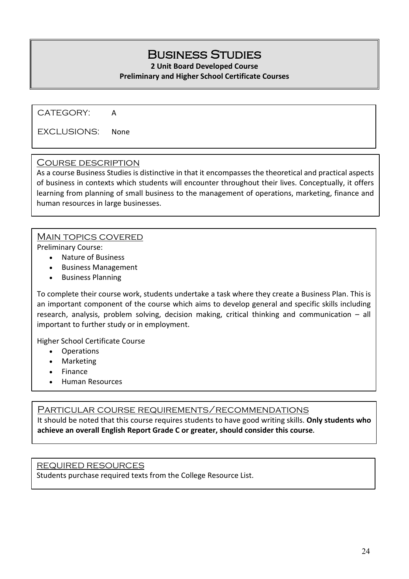## Business Studies

**2 Unit Board Developed Course**

#### **Preliminary and Higher School Certificate Courses**

CATEGORY: A

EXCLUSIONS: None

#### Course description

As a course Business Studies is distinctive in that it encompasses the theoretical and practical aspects of business in contexts which students will encounter throughout their lives. Conceptually, it offers learning from planning of small business to the management of operations, marketing, finance and human resources in large businesses.

#### Main topics covered

Preliminary Course:

- Nature of Business
- Business Management
- Business Planning

To complete their course work, students undertake a task where they create a Business Plan. This is an important component of the course which aims to develop general and specific skills including research, analysis, problem solving, decision making, critical thinking and communication – all important to further study or in employment.

Higher School Certificate Course

- Operations
- **Marketing**
- Finance
- Human Resources

#### Particular course requirements/recommendations

It should be noted that this course requires students to have good writing skills. **Only students who achieve an overall English Report Grade C or greater, should consider this course.**

#### REQUIRED RESOURCES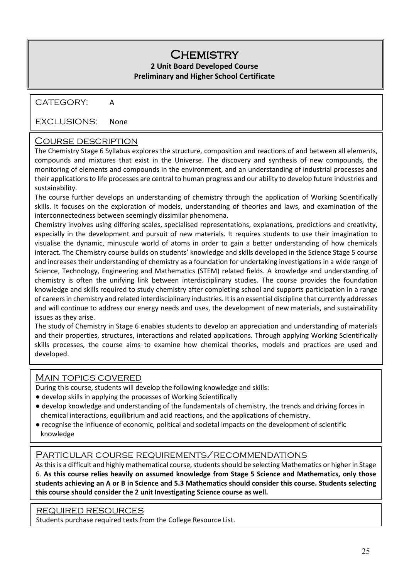#### **CHEMISTRY 2 Unit Board Developed Course**

#### **Preliminary and Higher School Certificate**

#### CATEGORY: A

#### EXCLUSIONS: None

#### Course description

The Chemistry Stage 6 Syllabus explores the structure, composition and reactions of and between all elements, compounds and mixtures that exist in the Universe. The discovery and synthesis of new compounds, the monitoring of elements and compounds in the environment, and an understanding of industrial processes and their applications to life processes are central to human progress and our ability to develop future industries and sustainability.

The course further develops an understanding of chemistry through the application of Working Scientifically skills. It focuses on the exploration of models, understanding of theories and laws, and examination of the interconnectedness between seemingly dissimilar phenomena.

Chemistry involves using differing scales, specialised representations, explanations, predictions and creativity, especially in the development and pursuit of new materials. It requires students to use their imagination to visualise the dynamic, minuscule world of atoms in order to gain a better understanding of how chemicals interact. The Chemistry course builds on students' knowledge and skills developed in the Science Stage 5 course and increases their understanding of chemistry as a foundation for undertaking investigations in a wide range of Science, Technology, Engineering and Mathematics (STEM) related fields. A knowledge and understanding of chemistry is often the unifying link between interdisciplinary studies. The course provides the foundation knowledge and skills required to study chemistry after completing school and supports participation in a range of careers in chemistry and related interdisciplinary industries. It is an essential discipline that currently addresses and will continue to address our energy needs and uses, the development of new materials, and sustainability issues as they arise.

The study of Chemistry in Stage 6 enables students to develop an appreciation and understanding of materials and their properties, structures, interactions and related applications. Through applying Working Scientifically skills processes, the course aims to examine how chemical theories, models and practices are used and developed.

#### **MAIN TOPICS COVERED**

During this course, students will develop the following knowledge and skills:

- develop skills in applying the processes of Working Scientifically
- develop knowledge and understanding of the fundamentals of chemistry, the trends and driving forces in chemical interactions, equilibrium and acid reactions, and the applications of chemistry.
- recognise the influence of economic, political and societal impacts on the development of scientific knowledge

#### Particular course requirements/recommendations

As this is a difficult and highly mathematical course, students should be selecting Mathematics or higher in Stage 6. **As this course relies heavily on assumed knowledge from Stage 5 Science and Mathematics, only those students achieving an A or B in Science and 5.3 Mathematics should consider this course. Students selecting this course should consider the 2 unit Investigating Science course as well.**

#### REQUIRED RESOURCES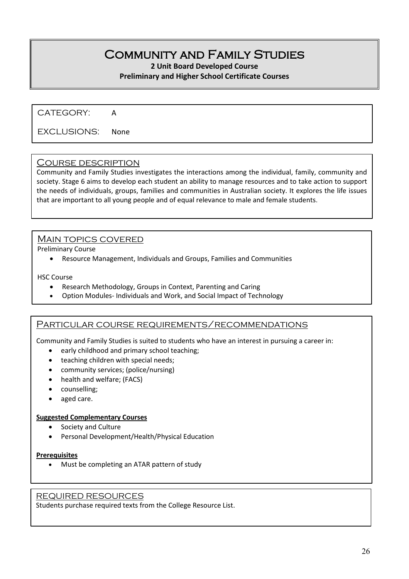## Community and Family Studies

**2 Unit Board Developed Course**

#### **Preliminary and Higher School Certificate Courses**

CATEGORY: A

EXCLUSIONS: None

#### Course description

Community and Family Studies investigates the interactions among the individual, family, community and society. Stage 6 aims to develop each student an ability to manage resources and to take action to support the needs of individuals, groups, families and communities in Australian society. It explores the life issues that are important to all young people and of equal relevance to male and female students.

#### Main topics covered

Preliminary Course

• Resource Management, Individuals and Groups, Families and Communities

#### HSC Course

- Research Methodology, Groups in Context, Parenting and Caring
- Option Modules- Individuals and Work, and Social Impact of Technology

#### Particular course requirements/recommendations

Community and Family Studies is suited to students who have an interest in pursuing a career in:

- early childhood and primary school teaching;
- teaching children with special needs;
- community services; (police/nursing)
- health and welfare; (FACS)
- counselling;
- aged care.

#### **Suggested Complementary Courses**

- Society and Culture
- Personal Development/Health/Physical Education

#### **Prerequisites**

• Must be completing an ATAR pattern of study

#### REQUIRED RESOURCES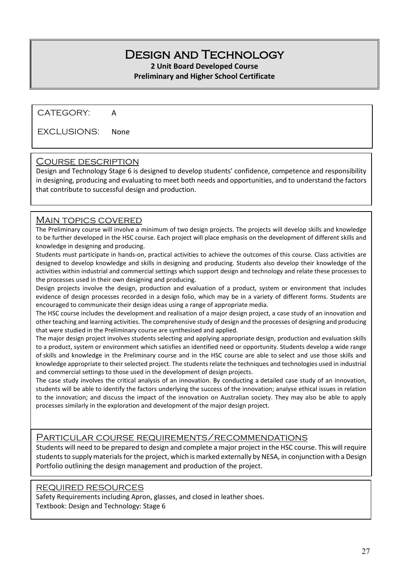## Design and Technology

**2 Unit Board Developed Course**

#### **Preliminary and Higher School Certificate**

CATEGORY: A

EXCLUSIONS: None

#### Course description

Design and Technology Stage 6 is designed to develop students' confidence, competence and responsibility in designing, producing and evaluating to meet both needs and opportunities, and to understand the factors that contribute to successful design and production.

#### MAIN TOPICS COVERED

The Preliminary course will involve a minimum of two design projects. The projects will develop skills and knowledge to be further developed in the HSC course. Each project will place emphasis on the development of different skills and knowledge in designing and producing.

Students must participate in hands-on, practical activities to achieve the outcomes of this course. Class activities are designed to develop knowledge and skills in designing and producing. Students also develop their knowledge of the activities within industrial and commercial settings which support design and technology and relate these processes to the processes used in their own designing and producing.

Design projects involve the design, production and evaluation of a product, system or environment that includes evidence of design processes recorded in a design folio, which may be in a variety of different forms. Students are encouraged to communicate their design ideas using a range of appropriate media.

The HSC course includes the development and realisation of a major design project, a case study of an innovation and other teaching and learning activities. The comprehensive study of design and the processes of designing and producing that were studied in the Preliminary course are synthesised and applied.

The major design project involves students selecting and applying appropriate design, production and evaluation skills to a product, system or environment which satisfies an identified need or opportunity. Students develop a wide range of skills and knowledge in the Preliminary course and in the HSC course are able to select and use those skills and knowledge appropriate to their selected project. The students relate the techniques and technologies used in industrial and commercial settings to those used in the development of design projects.

The case study involves the critical analysis of an innovation. By conducting a detailed case study of an innovation, students will be able to identify the factors underlying the success of the innovation; analyse ethical issues in relation to the innovation; and discuss the impact of the innovation on Australian society. They may also be able to apply processes similarly in the exploration and development of the major design project.

#### Particular course requirements/recommendations

Students will need to be prepared to design and complete a major project in the HSC course. This will require students to supply materials for the project, which is marked externally by NESA, in conjunction with a Design Portfolio outlining the design management and production of the project.

#### REQUIRED RESOURCES

Safety Requirements including Apron, glasses, and closed in leather shoes. Textbook: Design and Technology: Stage 6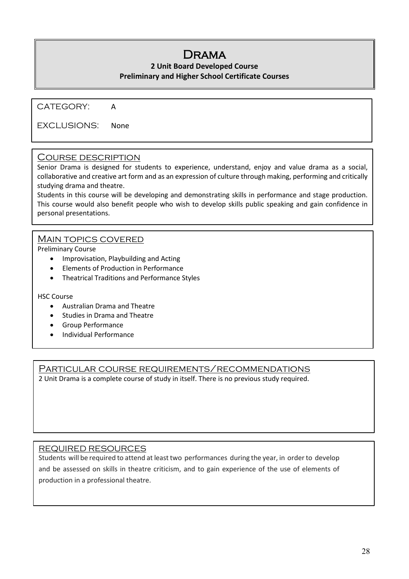## Drama

#### **2 Unit Board Developed Course Preliminary and Higher School Certificate Courses**

CATEGORY: A

EXCLUSIONS: None

#### Course description

Senior Drama is designed for students to experience, understand, enjoy and value drama as a social, collaborative and creative art form and as an expression of culture through making, performing and critically studying drama and theatre.

Students in this course will be developing and demonstrating skills in performance and stage production. This course would also benefit people who wish to develop skills public speaking and gain confidence in personal presentations.

#### MAIN TOPICS COVERED

Preliminary Course

- Improvisation, Playbuilding and Acting
- Elements of Production in Performance
- Theatrical Traditions and Performance Styles

#### HSC Course

- Australian Drama and Theatre
- Studies in Drama and Theatre
- Group Performance
- Individual Performance

Particular course requirements/recommendations

2 Unit Drama is a complete course of study in itself. There is no previous study required.

#### REQUIRED RESOURCES

Students will be required to attend at least two performances during the year, in order to develop and be assessed on skills in theatre criticism, and to gain experience of the use of elements of production in a professional theatre.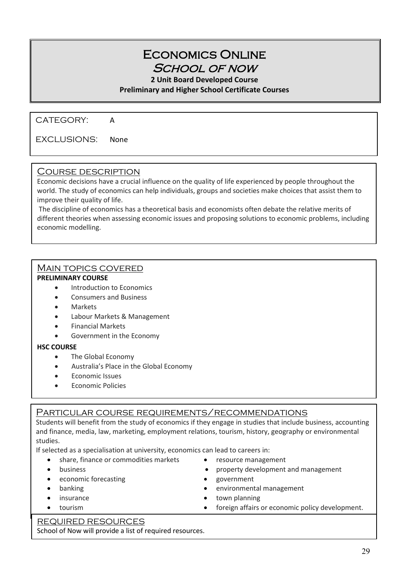## Economics Online School of now

**2 Unit Board Developed Course**

**Preliminary and Higher School Certificate Courses**

CATEGORY: A

 $\overline{a}$ 

EXCLUSIONS: None

#### Course description

Economic decisions have a crucial influence on the quality of life experienced by people throughout the world. The study of economics can help individuals, groups and societies make choices that assist them to improve their quality of life.

The discipline of economics has a theoretical basis and economists often debate the relative merits of different theories when assessing economic issues and proposing solutions to economic problems, including economic modelling.

#### Main topics covered

#### **PRELIMINARY COURSE**

٦  $\overline{a}$ 

- Introduction to Economics
- Consumers and Business
- **Markets**
- Labour Markets & Management
- Financial Markets
- Government in the Economy

#### **HSC COURSE**

- The Global Economy
- Australia's Place in the Global Economy
- Economic Issues
- Economic Policies

#### PARTICULAR COURSE REQUIREMENTS/RECOMMENDATIONS

Students will benefit from the study of economics if they engage in studies that include business, accounting and finance, media, law, marketing, employment relations, tourism, history, geography or environmental studies.

If selected as a specialisation at university, economics can lead to careers in:

- share, finance or commodities markets resource management
- 
- economic forecasting example of the seconomic forecasting  $\bullet$  government
- 
- 
- 
- -
- business property development and management
	-
- banking banking **banking various various various various various various various various various various various various various various various various various various various vario**
- insurance **•** town planning
- tourism foreign affairs or economic policy development.

#### REQUIRED RESOURCES

School of Now will provide a list of required resources.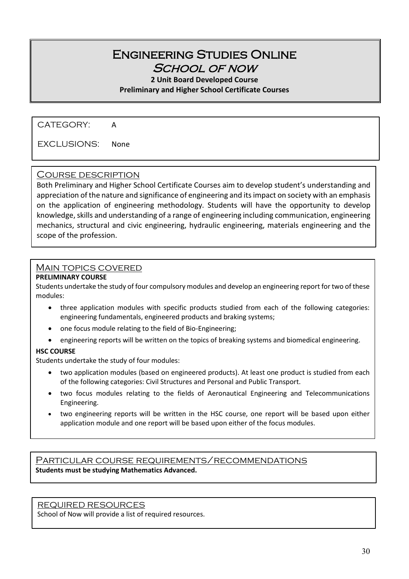### Engineering Studies Online School of now

**2 Unit Board Developed Course Preliminary and Higher School Certificate Courses**

CATEGORY: A

EXCLUSIONS: None

#### Course description

Both Preliminary and Higher School Certificate Courses aim to develop student's understanding and appreciation of the nature and significance of engineering and its impact on society with an emphasis on the application of engineering methodology. Students will have the opportunity to develop knowledge, skills and understanding of a range of engineering including communication, engineering mechanics, structural and civic engineering, hydraulic engineering, materials engineering and the scope of the profession.

#### Main topics covered

#### **PRELIMINARY COURSE**

Students undertake the study of four compulsory modules and develop an engineering report for two of these modules:

- three application modules with specific products studied from each of the following categories: engineering fundamentals, engineered products and braking systems;
- one focus module relating to the field of Bio-Engineering;
- engineering reports will be written on the topics of breaking systems and biomedical engineering.

#### **HSC COURSE**

Students undertake the study of four modules:

- two application modules (based on engineered products). At least one product is studied from each of the following categories: Civil Structures and Personal and Public Transport.
- two focus modules relating to the fields of Aeronautical Engineering and Telecommunications Engineering.
- two engineering reports will be written in the HSC course, one report will be based upon either application module and one report will be based upon either of the focus modules.

Particular course requirements/recommendations **Students must be studying Mathematics Advanced.**

REQUIRED RESOURCES

School of Now will provide a list of required resources.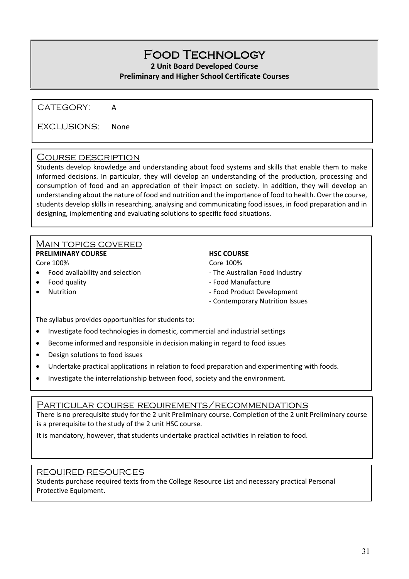## Food Technology

**2 Unit Board Developed Course**

#### **Preliminary and Higher School Certificate Courses**

CATEGORY: A

EXCLUSIONS: None

#### Course description

Students develop knowledge and understanding about food systems and skills that enable them to make informed decisions. In particular, they will develop an understanding of the production, processing and consumption of food and an appreciation of their impact on society. In addition, they will develop an understanding about the nature of food and nutrition and the importance of food to health. Over the course, students develop skills in researching, analysing and communicating food issues, in food preparation and in designing, implementing and evaluating solutions to specific food situations.

#### Main topics covered

**PRELIMINARY COURSE HSC COURSE** Core 100% Core 100%

- Food availability and selection The Australian Food Industry
- 
- 

- 
- Food quality  **Food Manufacture** 
	- external values of the state of the Food Product Development of the State of the Food Product Development
		- Contemporary Nutrition Issues

The syllabus provides opportunities for students to:

- Investigate food technologies in domestic, commercial and industrial settings
- Become informed and responsible in decision making in regard to food issues
- Design solutions to food issues
- Undertake practical applications in relation to food preparation and experimenting with foods.
- Investigate the interrelationship between food, society and the environment.

#### Particular course requirements/recommendations

There is no prerequisite study for the 2 unit Preliminary course. Completion of the 2 unit Preliminary course is a prerequisite to the study of the 2 unit HSC course.

It is mandatory, however, that students undertake practical activities in relation to food.

#### REQUIRED RESOURCES

Students purchase required texts from the College Resource List and necessary practical Personal Protective Equipment.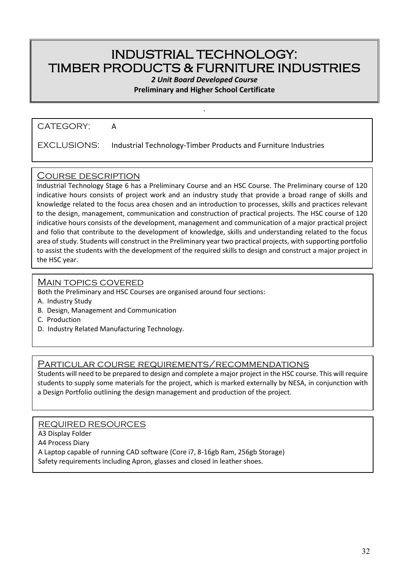## INDUSTRIAL TECHNOLOGY: TIMBER PRODUCTS & FURNITURE INDUSTRIES

*2 Unit Board Developed Course*

**Preliminary and Higher School Certificate**

.

CATEGORY: A

EXCLUSIONS: Industrial Technology-Timber Products and Furniture Industries

#### Course description

Industrial Technology Stage 6 has a Preliminary Course and an HSC Course. The Preliminary course of 120 indicative hours consists of project work and an industry study that provide a broad range of skills and knowledge related to the focus area chosen and an introduction to processes, skills and practices relevant to the design, management, communication and construction of practical projects. The HSC course of 120 indicative hours consists of the development, management and communication of a major practical project and folio that contribute to the development of knowledge, skills and understanding related to the focus area of study. Students will construct in the Preliminary year two practical projects, with supporting portfolio to assist the students with the development of the required skills to design and construct a major project in the HSC year.

#### Main topics covered

Both the Preliminary and HSC Courses are organised around four sections:

- A. Industry Study
- B. Design, Management and Communication
- C. Production
- D. Industry Related Manufacturing Technology.

#### Particular course requirements/recommendations

Students will need to be prepared to design and complete a major project in the HSC course. This will require students to supply some materials for the project, which is marked externally by NESA, in conjunction with a Design Portfolio outlining the design management and production of the project.

REQUIRED RESOURCES A3 Display Folder A4 Process Diary A Laptop capable of running CAD software (Core i7, 8-16gb Ram, 256gb Storage) Safety requirements including Apron, glasses and closed in leather shoes.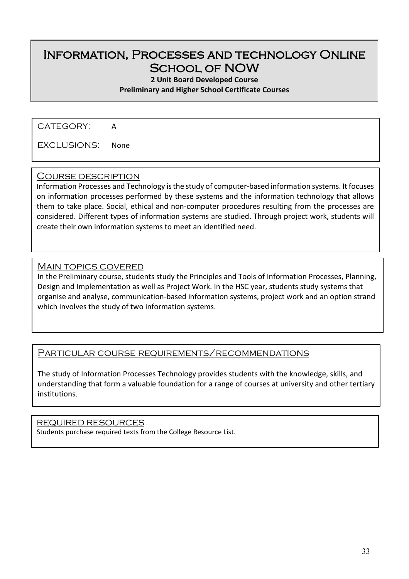## Information, Processes and technology Online School of NOW

**2 Unit Board Developed Course**

**Preliminary and Higher School Certificate Courses**

CATEGORY: A

EXCLUSIONS: None

#### Course description

Information Processes and Technology is the study of computer-based information systems. It focuses on information processes performed by these systems and the information technology that allows them to take place. Social, ethical and non-computer procedures resulting from the processes are considered. Different types of information systems are studied. Through project work, students will create their own information systems to meet an identified need.

#### Main topics covered

In the Preliminary course, students study the Principles and Tools of Information Processes, Planning, Design and Implementation as well as Project Work. In the HSC year, students study systems that organise and analyse, communication-based information systems, project work and an option strand which involves the study of two information systems.

#### Particular course requirements/recommendations

The study of Information Processes Technology provides students with the knowledge, skills, and understanding that form a valuable foundation for a range of courses at university and other tertiary institutions.

#### REQUIRED RESOURCES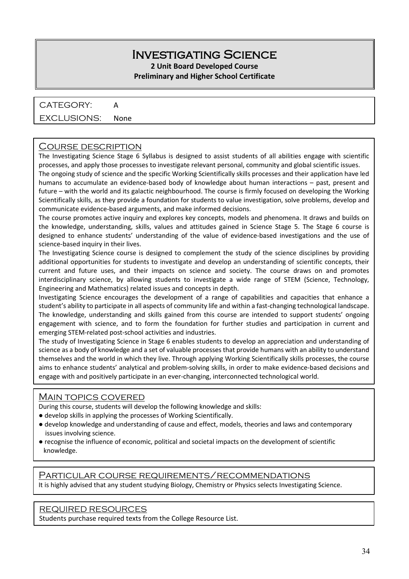#### Investigating Science **2 Unit Board Developed Course**

## **Preliminary and Higher School Certificate**

### CATEGORY: A

#### EXCLUSIONS: None

#### Course description

The Investigating Science Stage 6 Syllabus is designed to assist students of all abilities engage with scientific processes, and apply those processes to investigate relevant personal, community and global scientific issues.

The ongoing study of science and the specific Working Scientifically skills processes and their application have led humans to accumulate an evidence-based body of knowledge about human interactions – past, present and future – with the world and its galactic neighbourhood. The course is firmly focused on developing the Working Scientifically skills, as they provide a foundation for students to value investigation, solve problems, develop and communicate evidence-based arguments, and make informed decisions.

The course promotes active inquiry and explores key concepts, models and phenomena. It draws and builds on the knowledge, understanding, skills, values and attitudes gained in Science Stage 5. The Stage 6 course is designed to enhance students' understanding of the value of evidence-based investigations and the use of science-based inquiry in their lives.

The Investigating Science course is designed to complement the study of the science disciplines by providing additional opportunities for students to investigate and develop an understanding of scientific concepts, their current and future uses, and their impacts on science and society. The course draws on and promotes interdisciplinary science, by allowing students to investigate a wide range of STEM (Science, Technology, Engineering and Mathematics) related issues and concepts in depth.

Investigating Science encourages the development of a range of capabilities and capacities that enhance a student's ability to participate in all aspects of community life and within a fast-changing technological landscape. The knowledge, understanding and skills gained from this course are intended to support students' ongoing engagement with science, and to form the foundation for further studies and participation in current and emerging STEM-related post-school activities and industries.

The study of Investigating Science in Stage 6 enables students to develop an appreciation and understanding of science as a body of knowledge and a set of valuable processes that provide humans with an ability to understand themselves and the world in which they live. Through applying Working Scientifically skills processes, the course aims to enhance students' analytical and problem-solving skills, in order to make evidence-based decisions and engage with and positively participate in an ever-changing, interconnected technological world.

#### MAIN TOPICS COVERED

During this course, students will develop the following knowledge and skills:

- develop skills in applying the processes of Working Scientifically.
- develop knowledge and understanding of cause and effect, models, theories and laws and contemporary issues involving science.
- recognise the influence of economic, political and societal impacts on the development of scientific knowledge.

#### Particular course requirements/recommendations

It is highly advised that any student studying Biology, Chemistry or Physics selects Investigating Science.

#### REQUIRED RESOURCES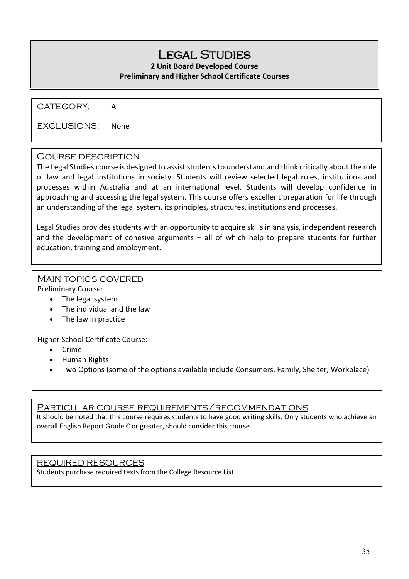## LEGAL STUDIES

#### **2 Unit Board Developed Course Preliminary and Higher School Certificate Courses**

CATEGORY: A

EXCLUSIONS: None

#### Course description

The Legal Studies course is designed to assist students to understand and think critically about the role of law and legal institutions in society. Students will review selected legal rules, institutions and processes within Australia and at an international level. Students will develop confidence in approaching and accessing the legal system. This course offers excellent preparation for life through an understanding of the legal system, its principles, structures, institutions and processes.

Legal Studies provides students with an opportunity to acquire skills in analysis, independent research and the development of cohesive arguments – all of which help to prepare students for further education, training and employment.

#### Main topics covered

Preliminary Course:

- The legal system
- The individual and the law
- The law in practice

Higher School Certificate Course:

- Crime
- Human Rights
- Two Options (some of the options available include Consumers, Family, Shelter, Workplace)

#### Particular course requirements/recommendations

It should be noted that this course requires students to have good writing skills. Only students who achieve an overall English Report Grade C or greater, should consider this course.

#### REQUIRED RESOURCES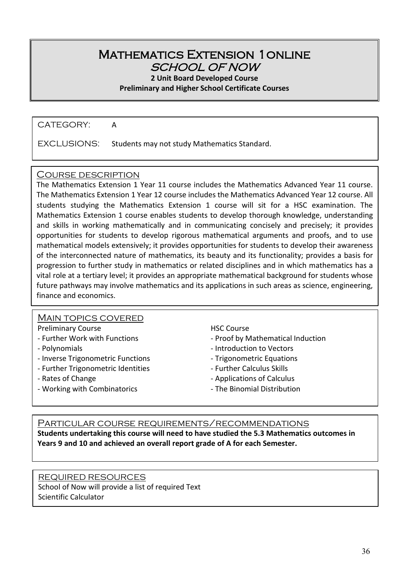#### Mathematics Extension 1online SCHOOL OF NOW

**2 Unit Board Developed Course**

**Preliminary and Higher School Certificate Courses**

CATEGORY: A

EXCLUSIONS: Students may not study Mathematics Standard.

#### Course description

The Mathematics Extension 1 Year 11 course includes the Mathematics Advanced Year 11 course. The Mathematics Extension 1 Year 12 course includes the Mathematics Advanced Year 12 course. All students studying the Mathematics Extension 1 course will sit for a HSC examination. The Mathematics Extension 1 course enables students to develop thorough knowledge, understanding and skills in working mathematically and in communicating concisely and precisely; it provides opportunities for students to develop rigorous mathematical arguments and proofs, and to use mathematical models extensively; it provides opportunities for students to develop their awareness of the interconnected nature of mathematics, its beauty and its functionality; provides a basis for progression to further study in mathematics or related disciplines and in which mathematics has a vital role at a tertiary level; it provides an appropriate mathematical background for students whose future pathways may involve mathematics and its applications in such areas as science, engineering, finance and economics.

#### MAIN TOPICS COVERED

#### Preliminary Course **HSC Course**

- 
- 
- Inverse Trigonometric Functions Trigonometric Equations
- Further Trigonometric Identities Further Calculus Skills
- 
- Working with Combinatorics **Access 12 Contains 12** The Binomial Distribution
- 
- Further Work with Functions  $\overline{\phantom{a}}$  Proof by Mathematical Induction
- Polynomials **And Contract Contract Contract Contract Contract Contract Contract Contract Contract Contract Contract Contract Contract Contract Contract Contract Contract Contract Contract Contract Contract Contract Contr** 
	-
	-
- Rates of Change  **Applications of Calculus** Applications of Calculus
	-

Particular course requirements/recommendations **Students undertaking this course will need to have studied the 5.3 Mathematics outcomes in Years 9 and 10 and achieved an overall report grade of A for each Semester.**

#### REQUIRED RESOURCES

School of Now will provide a list of required Text Scientific Calculator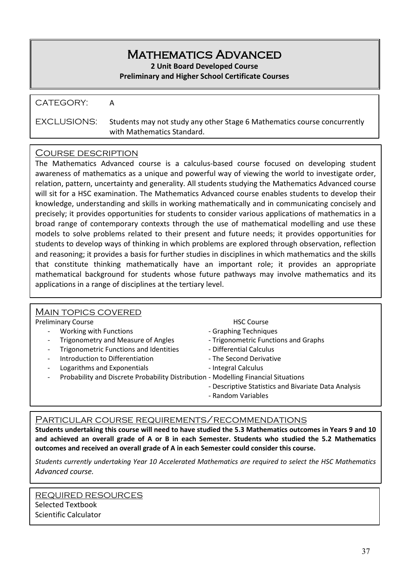## Mathematics Advanced

**2 Unit Board Developed Course**

#### **Preliminary and Higher School Certificate Courses**

CATEGORY: A

EXCLUSIONS: Students may not study any other Stage 6 Mathematics course concurrently with Mathematics Standard.

#### Course description

The Mathematics Advanced course is a calculus-based course focused on developing student awareness of mathematics as a unique and powerful way of viewing the world to investigate order, relation, pattern, uncertainty and generality. All students studying the Mathematics Advanced course will sit for a HSC examination. The Mathematics Advanced course enables students to develop their knowledge, understanding and skills in working mathematically and in communicating concisely and precisely; it provides opportunities for students to consider various applications of mathematics in a broad range of contemporary contexts through the use of mathematical modelling and use these models to solve problems related to their present and future needs; it provides opportunities for students to develop ways of thinking in which problems are explored through observation, reflection and reasoning; it provides a basis for further studies in disciplines in which mathematics and the skills that constitute thinking mathematically have an important role; it provides an appropriate mathematical background for students whose future pathways may involve mathematics and its applications in a range of disciplines at the tertiary level.

| <b>MAIN TOPICS COVERED</b>                                                                                     |                                                      |
|----------------------------------------------------------------------------------------------------------------|------------------------------------------------------|
| <b>Preliminary Course</b>                                                                                      | <b>HSC Course</b>                                    |
| Working with Functions<br>$\overline{\phantom{a}}$                                                             | - Graphing Techniques                                |
| <b>Trigonometry and Measure of Angles</b><br>$\overline{\phantom{a}}$                                          | - Trigonometric Functions and Graphs                 |
| <b>Trigonometric Functions and Identities</b><br>$\overline{\phantom{a}}$                                      | - Differential Calculus                              |
| Introduction to Differentiation<br>$\overline{\phantom{a}}$                                                    | - The Second Derivative                              |
| Logarithms and Exponentials<br>$\overline{\phantom{a}}$                                                        | - Integral Calculus                                  |
| Probability and Discrete Probability Distribution - Modelling Financial Situations<br>$\overline{\phantom{a}}$ |                                                      |
|                                                                                                                | - Descriptive Statistics and Bivariate Data Analysis |
|                                                                                                                | - Random Variables                                   |
|                                                                                                                |                                                      |

#### Particular course requirements/recommendations

**Students undertaking this course will need to have studied the 5.3 Mathematics outcomes in Years 9 and 10 and achieved an overall grade of A or B in each Semester. Students who studied the 5.2 Mathematics outcomes and received an overall grade of A in each Semester could consider this course.**

*Students currently undertaking Year 10 Accelerated Mathematics are required to select the HSC Mathematics Advanced course.*

REQUIRED RESOURCES Selected Textbook Scientific Calculator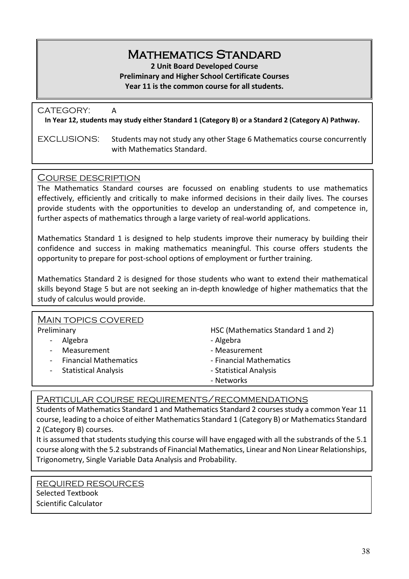## Mathematics Standard

**2 Unit Board Developed Course**

**Preliminary and Higher School Certificate Courses**

**Year 11 is the common course for all students.** 

| CATEGORY:   | A<br>In Year 12, students may study either Standard 1 (Category B) or a Standard 2 (Category A) Pathway. |
|-------------|----------------------------------------------------------------------------------------------------------|
| EXCLUSIONS: | Students may not study any other Stage 6 Mathematics course concurrently<br>with Mathematics Standard.   |

#### Course description

The Mathematics Standard courses are focussed on enabling students to use mathematics effectively, efficiently and critically to make informed decisions in their daily lives. The courses provide students with the opportunities to develop an understanding of, and competence in, further aspects of mathematics through a large variety of real-world applications.

Mathematics Standard 1 is designed to help students improve their numeracy by building their confidence and success in making mathematics meaningful. This course offers students the opportunity to prepare for post-school options of employment or further training.

Mathematics Standard 2 is designed for those students who want to extend their mathematical skills beyond Stage 5 but are not seeking an in-depth knowledge of higher mathematics that the study of calculus would provide.

| <b>MAIN TOPICS COVERED</b>                     |                                    |
|------------------------------------------------|------------------------------------|
| Preliminary                                    | HSC (Mathematics Standard 1 and 2) |
| Algebra<br>$\sim$                              | - Algebra                          |
| Measurement<br>$\blacksquare$                  | - Measurement                      |
| <b>Financial Mathematics</b><br>$\blacksquare$ | - Financial Mathematics            |
| - Statistical Analysis                         | - Statistical Analysis             |
|                                                | - Networks                         |
|                                                |                                    |

Particular course requirements/recommendations

Students of Mathematics Standard 1 and Mathematics Standard 2 courses study a common Year 11 course, leading to a choice of either Mathematics Standard 1 (Category B) or Mathematics Standard 2 (Category B) courses.

It is assumed that students studying this course will have engaged with all the substrands of the 5.1 course along with the 5.2 substrands of Financial Mathematics, Linear and Non Linear Relationships, Trigonometry, Single Variable Data Analysis and Probability.

REQUIRED RESOURCES Selected Textbook Scientific Calculator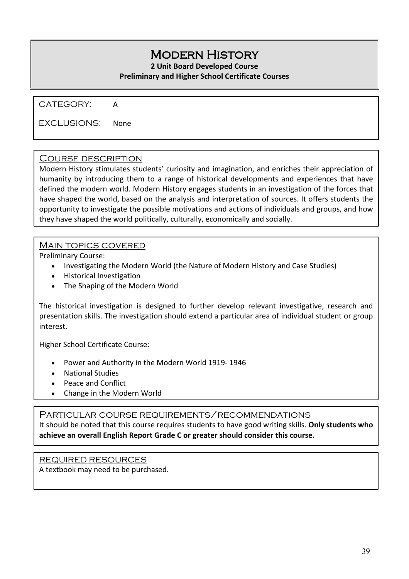## Modern History

**2 Unit Board Developed Course**

#### **Preliminary and Higher School Certificate Courses**

CATEGORY: A

EXCLUSIONS: None

#### Course description

Modern History stimulates students' curiosity and imagination, and enriches their appreciation of humanity by introducing them to a range of historical developments and experiences that have defined the modern world. Modern History engages students in an investigation of the forces that have shaped the world, based on the analysis and interpretation of sources. It offers students the opportunity to investigate the possible motivations and actions of individuals and groups, and how they have shaped the world politically, culturally, economically and socially.

#### Main topics covered

Preliminary Course:

- Investigating the Modern World (the Nature of Modern History and Case Studies)
- Historical Investigation
- The Shaping of the Modern World

The historical investigation is designed to further develop relevant investigative, research and presentation skills. The investigation should extend a particular area of individual student or group interest.

Higher School Certificate Course:

- Power and Authority in the Modern World 1919- 1946
- National Studies
- Peace and Conflict
- Change in the Modern World

Particular course requirements/recommendations

It should be noted that this course requires students to have good writing skills. **Only students who achieve an overall English Report Grade C or greater should consider this course.**

#### REQUIRED RESOURCES A textbook may need to be purchased.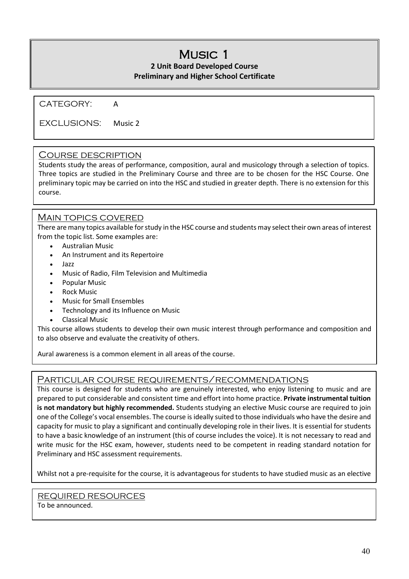## Music 1

#### **2 Unit Board Developed Course Preliminary and Higher School Certificate**

CATEGORY: A

EXCLUSIONS: Music 2

#### Course description

Students study the areas of performance, composition, aural and musicology through a selection of topics. Three topics are studied in the Preliminary Course and three are to be chosen for the HSC Course. One preliminary topic may be carried on into the HSC and studied in greater depth. There is no extension for this course.

#### Main topics covered

There are many topics available for study in the HSC course and students may select their own areas of interest from the topic list. Some examples are:

- Australian Music
- An Instrument and its Repertoire
- Jazz
- Music of Radio, Film Television and Multimedia
- Popular Music
- Rock Music
- Music for Small Ensembles
- Technology and its Influence on Music
- Classical Music

This course allows students to develop their own music interest through performance and composition and to also observe and evaluate the creativity of others.

Aural awareness is a common element in all areas of the course.

#### Particular course requirements/recommendations

This course is designed for students who are genuinely interested, who enjoy listening to music and are prepared to put considerable and consistent time and effort into home practice. **Private instrumental tuition is not mandatory but highly recommended.** Students studying an elective Music course are required to join one of the College's vocal ensembles. The course is ideally suited to those individuals who have the desire and capacity for music to play a significant and continually developing role in their lives. It is essential for students to have a basic knowledge of an instrument (this of course includes the voice). It is not necessary to read and write music for the HSC exam, however, students need to be competent in reading standard notation for Preliminary and HSC assessment requirements.

Whilst not a pre-requisite for the course, it is advantageous for students to have studied music as an elective

REQUIRED RESOURCES To be announced.

İ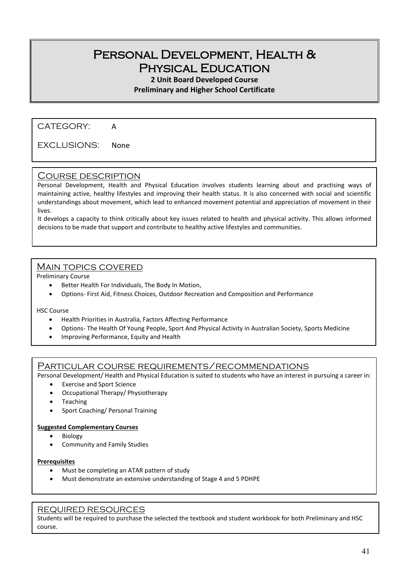## Personal Development, Health & Physical Education

#### **2 Unit Board Developed Course**

**Preliminary and Higher School Certificate**

CATEGORY: A

EXCLUSIONS: None

#### Course description

Personal Development, Health and Physical Education involves students learning about and practising ways of maintaining active, healthy lifestyles and improving their health status. It is also concerned with social and scientific understandings about movement, which lead to enhanced movement potential and appreciation of movement in their lives.

It develops a capacity to think critically about key issues related to health and physical activity. This allows informed decisions to be made that support and contribute to healthy active lifestyles and communities.

#### Main topics covered

Preliminary Course

- Better Health For Individuals, The Body In Motion,
- Options- First Aid, Fitness Choices, Outdoor Recreation and Composition and Performance

HSC Course

- Health Priorities in Australia, Factors Affecting Performance
- Options- The Health Of Young People, Sport And Physical Activity in Australian Society, Sports Medicine
- Improving Performance, Equity and Health

#### Particular course requirements/recommendations

Personal Development/ Health and Physical Education is suited to students who have an interest in pursuing a career in:

- Exercise and Sport Science
- Occupational Therapy/ Physiotherapy
- **Teaching**
- Sport Coaching/ Personal Training

#### **Suggested Complementary Courses**

- **Biology**
- Community and Family Studies

#### **Prerequisites**

- Must be completing an ATAR pattern of study
- Must demonstrate an extensive understanding of Stage 4 and 5 PDHPE

#### REQUIRED RESOURCES

Students will be required to purchase the selected the textbook and student workbook for both Preliminary and HSC course.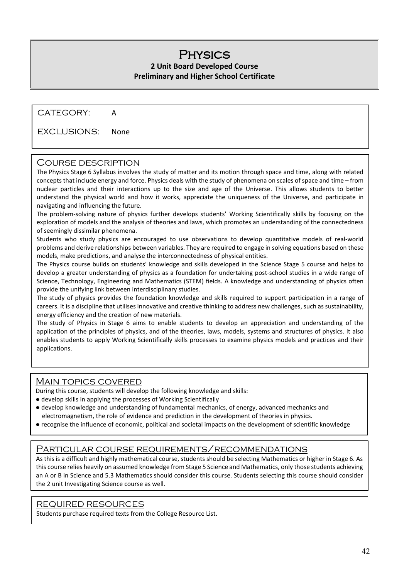## **PHYSICS**

#### **2 Unit Board Developed Course Preliminary and Higher School Certificate**

CATEGORY: A

EXCLUSIONS: None

#### Course description

The Physics Stage 6 Syllabus involves the study of matter and its motion through space and time, along with related concepts that include energy and force. Physics deals with the study of phenomena on scales of space and time – from nuclear particles and their interactions up to the size and age of the Universe. This allows students to better understand the physical world and how it works, appreciate the uniqueness of the Universe, and participate in navigating and influencing the future.

The problem-solving nature of physics further develops students' Working Scientifically skills by focusing on the exploration of models and the analysis of theories and laws, which promotes an understanding of the connectedness of seemingly dissimilar phenomena.

Students who study physics are encouraged to use observations to develop quantitative models of real-world problems and derive relationships between variables. They are required to engage in solving equations based on these models, make predictions, and analyse the interconnectedness of physical entities.

The Physics course builds on students' knowledge and skills developed in the Science Stage 5 course and helps to develop a greater understanding of physics as a foundation for undertaking post-school studies in a wide range of Science, Technology, Engineering and Mathematics (STEM) fields. A knowledge and understanding of physics often provide the unifying link between interdisciplinary studies.

The study of physics provides the foundation knowledge and skills required to support participation in a range of careers. It is a discipline that utilises innovative and creative thinking to address new challenges, such as sustainability, energy efficiency and the creation of new materials.

The study of Physics in Stage 6 aims to enable students to develop an appreciation and understanding of the application of the principles of physics, and of the theories, laws, models, systems and structures of physics. It also enables students to apply Working Scientifically skills processes to examine physics models and practices and their applications.

#### Main topics covered

During this course, students will develop the following knowledge and skills:

- develop skills in applying the processes of Working Scientifically
- develop knowledge and understanding of fundamental mechanics, of energy, advanced mechanics and electromagnetism, the role of evidence and prediction in the development of theories in physics.
- recognise the influence of economic, political and societal impacts on the development of scientific knowledge

#### Particular course requirements/recommendations

As this is a difficult and highly mathematical course, students should be selecting Mathematics or higher in Stage 6. As this course relies heavily on assumed knowledge from Stage 5 Science and Mathematics, only those students achieving an A or B in Science and 5.3 Mathematics should consider this course. Students selecting this course should consider the 2 unit Investigating Science course as well.

#### REQUIRED RESOURCES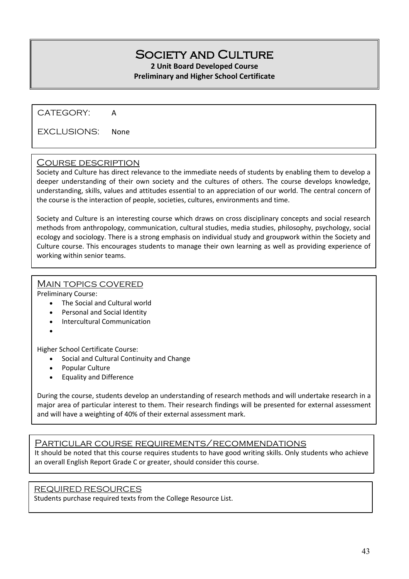## SOCIETY AND CULTURE

#### **2 Unit Board Developed Course Preliminary and Higher School Certificate**

CATEGORY: A

EXCLUSIONS: None

#### Course description

Society and Culture has direct relevance to the immediate needs of students by enabling them to develop a deeper understanding of their own society and the cultures of others. The course develops knowledge, understanding, skills, values and attitudes essential to an appreciation of our world. The central concern of the course is the interaction of people, societies, cultures, environments and time.

Society and Culture is an interesting course which draws on cross disciplinary concepts and social research methods from anthropology, communication, cultural studies, media studies, philosophy, psychology, social ecology and sociology. There is a strong emphasis on individual study and groupwork within the Society and Culture course. This encourages students to manage their own learning as well as providing experience of working within senior teams.

#### MAIN TOPICS COVERED

Preliminary Course:

- The Social and Cultural world
- Personal and Social Identity
- Intercultural Communication
- •

Higher School Certificate Course:

- Social and Cultural Continuity and Change
- Popular Culture
- Equality and Difference

During the course, students develop an understanding of research methods and will undertake research in a major area of particular interest to them. Their research findings will be presented for external assessment and will have a weighting of 40% of their external assessment mark.

#### Particular course requirements/recommendations

It should be noted that this course requires students to have good writing skills. Only students who achieve an overall English Report Grade C or greater, should consider this course.

#### REQUIRED RESOURCES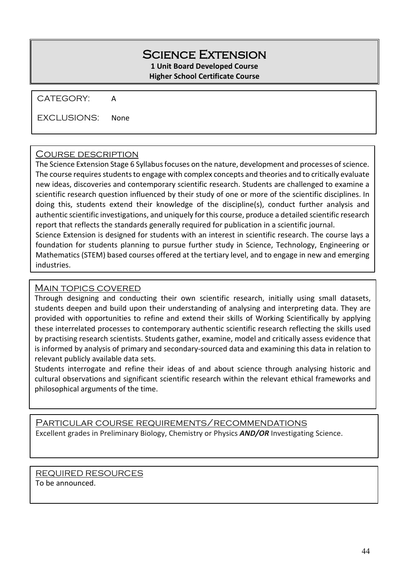#### Science Extension **1 Unit Board Developed Course Higher School Certificate Course**

CATEGORY: A

EXCLUSIONS: None

#### Course description

The Science Extension Stage 6 Syllabus focuses on the nature, development and processes of science. The course requires students to engage with complex concepts and theories and to critically evaluate new ideas, discoveries and contemporary scientific research. Students are challenged to examine a scientific research question influenced by their study of one or more of the scientific disciplines. In doing this, students extend their knowledge of the discipline(s), conduct further analysis and authentic scientific investigations, and uniquely for this course, produce a detailed scientific research report that reflects the standards generally required for publication in a scientific journal. Science Extension is designed for students with an interest in scientific research. The course lays a

foundation for students planning to pursue further study in Science, Technology, Engineering or Mathematics (STEM) based courses offered at the tertiary level, and to engage in new and emerging industries.

#### Main topics covered

Through designing and conducting their own scientific research, initially using small datasets, students deepen and build upon their understanding of analysing and interpreting data. They are provided with opportunities to refine and extend their skills of Working Scientifically by applying these interrelated processes to contemporary authentic scientific research reflecting the skills used by practising research scientists. Students gather, examine, model and critically assess evidence that is informed by analysis of primary and secondary-sourced data and examining this data in relation to relevant publicly available data sets.

Students interrogate and refine their ideas of and about science through analysing historic and cultural observations and significant scientific research within the relevant ethical frameworks and philosophical arguments of the time.

Particular course requirements/recommendations Excellent grades in Preliminary Biology, Chemistry or Physics *AND/OR* Investigating Science.

REQUIRED RESOURCES To be announced.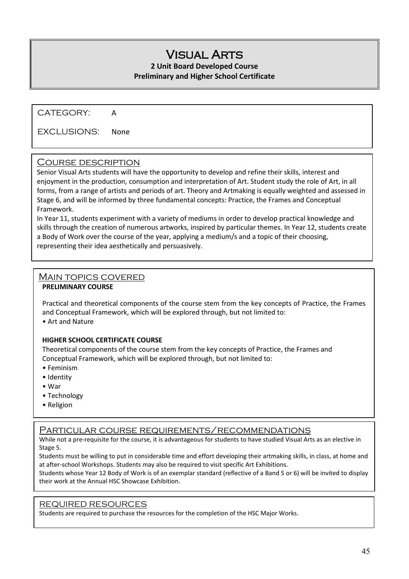## Visual Arts

#### **2 Unit Board Developed Course Preliminary and Higher School Certificate**

CATEGORY: A

EXCLUSIONS: None

#### Course description

Senior Visual Arts students will have the opportunity to develop and refine their skills, interest and enjoyment in the production, consumption and interpretation of Art. Student study the role of Art, in all forms, from a range of artists and periods of art. Theory and Artmaking is equally weighted and assessed in Stage 6, and will be informed by three fundamental concepts: Practice, the Frames and Conceptual Framework.

In Year 11, students experiment with a variety of mediums in order to develop practical knowledge and skills through the creation of numerous artworks, inspired by particular themes. In Year 12, students create a Body of Work over the course of the year, applying a medium/s and a topic of their choosing, representing their idea aesthetically and persuasively.

#### Main topics covered

#### **PRELIMINARY COURSE**

Practical and theoretical components of the course stem from the key concepts of Practice, the Frames and Conceptual Framework, which will be explored through, but not limited to:

• Art and Nature

#### **HIGHER SCHOOL CERTIFICATE COURSE**

Theoretical components of the course stem from the key concepts of Practice, the Frames and Conceptual Framework, which will be explored through, but not limited to:

- Feminism
- Identity
- War
- Technology
- Religion

#### Particular course requirements/recommendations

While not a pre-requisite for the course, it is advantageous for students to have studied Visual Arts as an elective in Stage 5.

Students must be willing to put in considerable time and effort developing their artmaking skills, in class, at home and at after-school Workshops. Students may also be required to visit specific Art Exhibitions.

Students whose Year 12 Body of Work is of an exemplar standard (reflective of a Band 5 or 6) will be invited to display their work at the Annual HSC Showcase Exhibition.

#### REQUIRED RESOURCES

Students are required to purchase the resources for the completion of the HSC Major Works.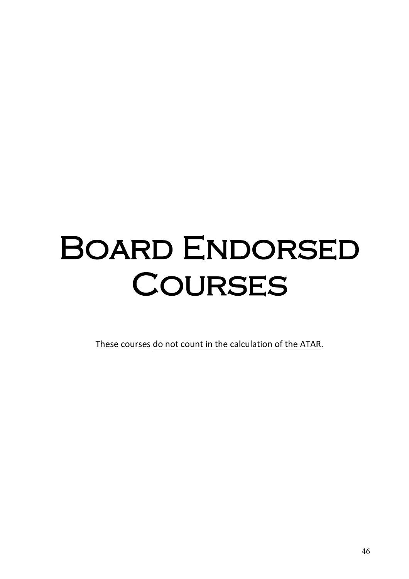## **BOARD ENDORSED COURSES**

These courses do not count in the calculation of the ATAR.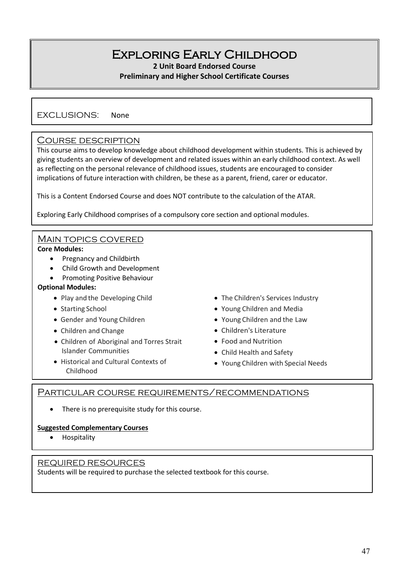## Exploring Early Childhood

**2 Unit Board Endorsed Course**

#### **Preliminary and Higher School Certificate Courses**

EXCLUSIONS: None

#### Course description

This course aims to develop knowledge about childhood development within students. This is achieved by giving students an overview of development and related issues within an early childhood context. As well as reflecting on the personal relevance of childhood issues, students are encouraged to consider implications of future interaction with children, be these as a parent, friend, carer or educator.

This is a Content Endorsed Course and does NOT contribute to the calculation of the ATAR.

Exploring Early Childhood comprises of a compulsory core section and optional modules.

#### MAIN TOPICS COVERED

#### **Core Modules:**

- Pregnancy and Childbirth
- Child Growth and Development
- Promoting Positive Behaviour

#### **Optional Modules:**

- Play and the Developing Child
- Starting School
- Gender and Young Children
- Children and Change
- Children of Aboriginal and Torres Strait Islander Communities
- Historical and Cultural Contexts of Childhood
- The Children's Services Industry
- Young Children and Media
- Young Children and the Law
- Children's Literature
- Food and Nutrition
- Child Health and Safety
- Young Children with Special Needs

#### Particular course requirements/recommendations

• There is no prerequisite study for this course.

#### **Suggested Complementary Courses**

• Hospitality

#### REQUIRED RESOURCES

Students will be required to purchase the selected textbook for this course.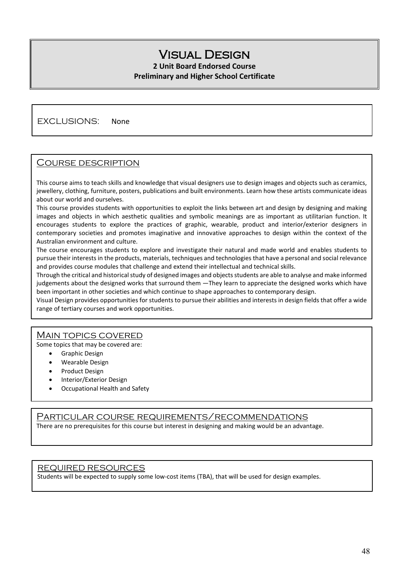## Visual Design

#### **2 Unit Board Endorsed Course Preliminary and Higher School Certificate**

#### EXCLUSIONS: None

#### Course description

This course aims to teach skills and knowledge that visual designers use to design images and objects such as ceramics, jewellery, clothing, furniture, posters, publications and built environments. Learn how these artists communicate ideas about our world and ourselves.

This course provides students with opportunities to exploit the links between art and design by designing and making images and objects in which aesthetic qualities and symbolic meanings are as important as utilitarian function. It encourages students to explore the practices of graphic, wearable, product and interior/exterior designers in contemporary societies and promotes imaginative and innovative approaches to design within the context of the Australian environment and culture.

The course encourages students to explore and investigate their natural and made world and enables students to pursue their interests in the products, materials, techniques and technologies that have a personal and social relevance and provides course modules that challenge and extend their intellectual and technical skills.

Through the critical and historical study of designed images and objects students are able to analyse and make informed judgements about the designed works that surround them —They learn to appreciate the designed works which have been important in other societies and which continue to shape approaches to contemporary design.

Visual Design provides opportunities for students to pursue their abilities and interests in design fields that offer a wide range of tertiary courses and work opportunities.

#### Main topics covered

Some topics that may be covered are:

- Graphic Design
- Wearable Design
- Product Design
- Interior/Exterior Design
- Occupational Health and Safety

#### Particular course requirements/recommendations

There are no prerequisites for this course but interest in designing and making would be an advantage.

#### REQUIRED RESOURCES

Students will be expected to supply some low-cost items (TBA), that will be used for design examples.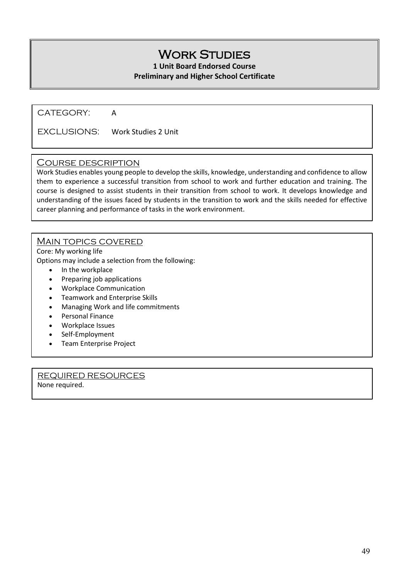## **WORK STUDIES**

#### **1 Unit Board Endorsed Course Preliminary and Higher School Certificate**

CATEGORY: A

EXCLUSIONS: Work Studies 2 Unit

#### Course description

Work Studies enables young people to develop the skills, knowledge, understanding and confidence to allow them to experience a successful transition from school to work and further education and training. The course is designed to assist students in their transition from school to work. It develops knowledge and understanding of the issues faced by students in the transition to work and the skills needed for effective career planning and performance of tasks in the work environment.

#### MAIN TOPICS COVERED

Core: My working life Options may include a selection from the following:

- In the workplace
- Preparing job applications
- Workplace Communication
- Teamwork and Enterprise Skills
- Managing Work and life commitments
- Personal Finance
- Workplace Issues
- Self-Employment
- Team Enterprise Project

REQUIRED RESOURCES None required.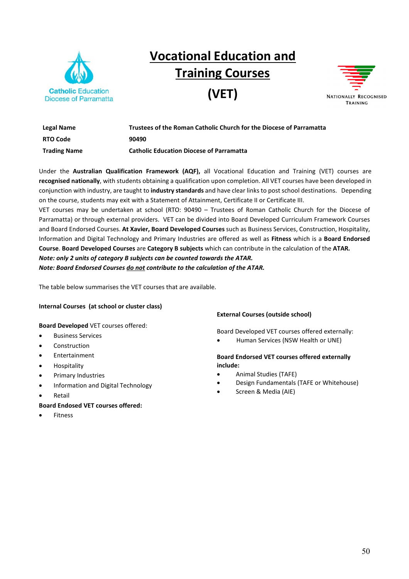

## **Vocational Education and Training Courses**

**(VET)** 



| Legal Name          | Trustees of the Roman Catholic Church for the Diocese of Parramatta |
|---------------------|---------------------------------------------------------------------|
| <b>RTO Code</b>     | 90490                                                               |
| <b>Trading Name</b> | <b>Catholic Education Diocese of Parramatta</b>                     |

Under the **Australian Qualification Framework (AQF),** all Vocational Education and Training (VET) courses are **recognised nationally**, with students obtaining a qualification upon completion. All VET courses have been developed in conjunction with industry, are taught to **industry standards** and have clear links to post school destinations. Depending on the course, students may exit with a Statement of Attainment, Certificate II or Certificate III.

VET courses may be undertaken at school (RTO: 90490 – Trustees of Roman Catholic Church for the Diocese of Parramatta) or through external providers. VET can be divided into Board Developed Curriculum Framework Courses and Board Endorsed Courses. **At Xavier, Board Developed Courses** such as Business Services, Construction, Hospitality, Information and Digital Technology and Primary Industries are offered as well as **Fitness** which is a **Board Endorsed Course**. **Board Developed Courses** are **Category B subjects** which can contribute in the calculation of the **ATAR***. Note: only 2 units of category B subjects can be counted towards the ATAR.* 

*Note: Board Endorsed Courses do not contribute to the calculation of the ATAR.*

The table below summarises the VET courses that are available.

#### **Internal Courses (at school or cluster class)**

#### **Board Developed** VET courses offered:

- **Business Services**
- Construction
- **Entertainment**
- Hospitality
- Primary Industries
- Information and Digital Technology
- **Retail**

#### **Board Endosed VET courses offered:**

**Fitness** 

#### **External Courses (outside school)**

Board Developed VET courses offered externally:

• Human Services (NSW Health or UNE)

#### **Board Endorsed VET courses offered externally include:**

- Animal Studies (TAFE)
- Design Fundamentals (TAFE or Whitehouse)
- Screen & Media (AIE)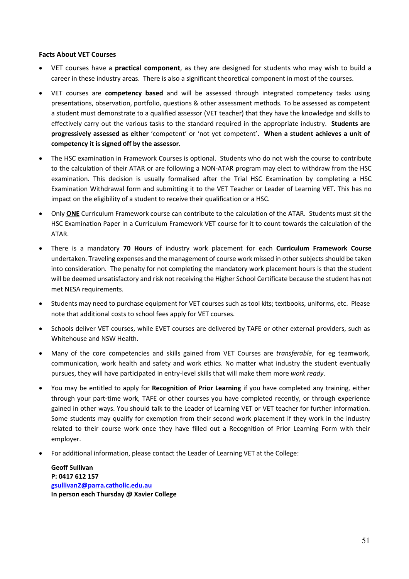#### **Facts About VET Courses**

- VET courses have a **practical component**, as they are designed for students who may wish to build a career in these industry areas. There is also a significant theoretical component in most of the courses.
- VET courses are **competency based** and will be assessed through integrated competency tasks using presentations, observation, portfolio, questions & other assessment methods. To be assessed as competent a student must demonstrate to a qualified assessor (VET teacher) that they have the knowledge and skills to effectively carry out the various tasks to the standard required in the appropriate industry. **Students are progressively assessed as either** 'competent' or 'not yet competent'**. When a student achieves a unit of competency it is signed off by the assessor.**
- The HSC examination in Framework Courses is optional. Students who do not wish the course to contribute to the calculation of their ATAR or are following a NON-ATAR program may elect to withdraw from the HSC examination. This decision is usually formalised after the Trial HSC Examination by completing a HSC Examination Withdrawal form and submitting it to the VET Teacher or Leader of Learning VET. This has no impact on the eligibility of a student to receive their qualification or a HSC.
- Only **ONE** Curriculum Framework course can contribute to the calculation of the ATAR. Students must sit the HSC Examination Paper in a Curriculum Framework VET course for it to count towards the calculation of the ATAR.
- There is a mandatory **70 Hours** of industry work placement for each **Curriculum Framework Course** undertaken. Traveling expenses and the management of course work missed in other subjects should be taken into consideration. The penalty for not completing the mandatory work placement hours is that the student will be deemed unsatisfactory and risk not receiving the Higher School Certificate because the student has not met NESA requirements.
- Students may need to purchase equipment for VET courses such as tool kits; textbooks, uniforms, etc. Please note that additional costs to school fees apply for VET courses.
- Schools deliver VET courses, while EVET courses are delivered by TAFE or other external providers, such as Whitehouse and NSW Health.
- Many of the core competencies and skills gained from VET Courses are *transferable*, for eg teamwork, communication, work health and safety and work ethics. No matter what industry the student eventually pursues, they will have participated in entry-level skills that will make them more *work ready*.
- You may be entitled to apply for **Recognition of Prior Learning** if you have completed any training, either through your part-time work, TAFE or other courses you have completed recently, or through experience gained in other ways. You should talk to the Leader of Learning VET or VET teacher for further information. Some students may qualify for exemption from their second work placement if they work in the industry related to their course work once they have filled out a Recognition of Prior Learning Form with their employer.
- For additional information, please contact the Leader of Learning VET at the College:

**Geoff Sullivan P: 0417 612 157 [gsullivan2@parra.catholic.edu.au](mailto:gsullivan2@parra.catholic.edu.au) In person each Thursday @ Xavier College**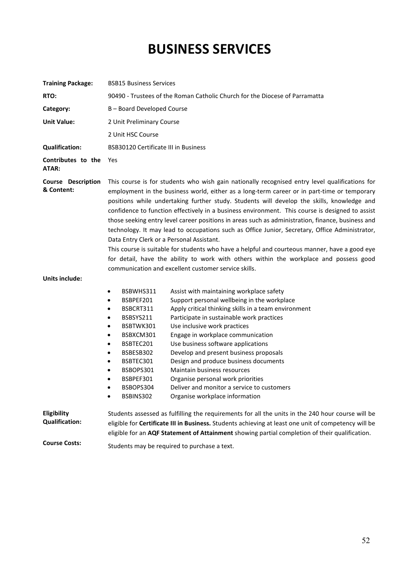## **BUSINESS SERVICES**

| <b>Training Package:</b>                    | <b>BSB15 Business Services</b>                                                                                                                                                                                                                                                                                                                                                                                                                                                                                                                                                                                                                                                                                                                                                                                                                                                                        |  |  |
|---------------------------------------------|-------------------------------------------------------------------------------------------------------------------------------------------------------------------------------------------------------------------------------------------------------------------------------------------------------------------------------------------------------------------------------------------------------------------------------------------------------------------------------------------------------------------------------------------------------------------------------------------------------------------------------------------------------------------------------------------------------------------------------------------------------------------------------------------------------------------------------------------------------------------------------------------------------|--|--|
| RTO:                                        | 90490 - Trustees of the Roman Catholic Church for the Diocese of Parramatta                                                                                                                                                                                                                                                                                                                                                                                                                                                                                                                                                                                                                                                                                                                                                                                                                           |  |  |
| Category:                                   | B - Board Developed Course                                                                                                                                                                                                                                                                                                                                                                                                                                                                                                                                                                                                                                                                                                                                                                                                                                                                            |  |  |
| <b>Unit Value:</b>                          | 2 Unit Preliminary Course                                                                                                                                                                                                                                                                                                                                                                                                                                                                                                                                                                                                                                                                                                                                                                                                                                                                             |  |  |
|                                             | 2 Unit HSC Course                                                                                                                                                                                                                                                                                                                                                                                                                                                                                                                                                                                                                                                                                                                                                                                                                                                                                     |  |  |
| <b>Qualification:</b>                       | <b>BSB30120 Certificate III in Business</b>                                                                                                                                                                                                                                                                                                                                                                                                                                                                                                                                                                                                                                                                                                                                                                                                                                                           |  |  |
| Contributes to the<br>ATAR:                 | Yes                                                                                                                                                                                                                                                                                                                                                                                                                                                                                                                                                                                                                                                                                                                                                                                                                                                                                                   |  |  |
| <b>Course Description</b><br>& Content:     | This course is for students who wish gain nationally recognised entry level qualifications for<br>employment in the business world, either as a long-term career or in part-time or temporary<br>positions while undertaking further study. Students will develop the skills, knowledge and<br>confidence to function effectively in a business environment. This course is designed to assist<br>those seeking entry level career positions in areas such as administration, finance, business and<br>technology. It may lead to occupations such as Office Junior, Secretary, Office Administrator,<br>Data Entry Clerk or a Personal Assistant.<br>This course is suitable for students who have a helpful and courteous manner, have a good eye<br>for detail, have the ability to work with others within the workplace and possess good<br>communication and excellent customer service skills. |  |  |
| <b>Units include:</b>                       | BSBWHS311<br>Assist with maintaining workplace safety<br>$\bullet$<br>Support personal wellbeing in the workplace<br>BSBPEF201<br>$\bullet$<br>Apply critical thinking skills in a team environment<br>BSBCRT311<br>$\bullet$<br>BSBSYS211<br>Participate in sustainable work practices<br>$\bullet$<br>BSBTWK301<br>Use inclusive work practices<br>$\bullet$<br>Engage in workplace communication<br>BSBXCM301<br>$\bullet$<br>Use business software applications<br>BSBTEC201<br>$\bullet$<br>BSBESB302<br>Develop and present business proposals<br>$\bullet$<br>BSBTEC301<br>Design and produce business documents<br>$\bullet$<br>BSBOPS301<br>Maintain business resources<br>$\bullet$<br>BSBPEF301<br>Organise personal work priorities<br>$\bullet$<br>Deliver and monitor a service to customers<br>BSBOPS304<br>$\bullet$<br>BSBINS302<br>Organise workplace information<br>$\bullet$      |  |  |
| <b>Eligibility</b><br><b>Qualification:</b> | Students assessed as fulfilling the requirements for all the units in the 240 hour course will be<br>eligible for Certificate III in Business. Students achieving at least one unit of competency will be                                                                                                                                                                                                                                                                                                                                                                                                                                                                                                                                                                                                                                                                                             |  |  |

eligible for an **AQF Statement of Attainment** showing partial completion of their qualification.

**Course Costs:** Students may be required to purchase a text.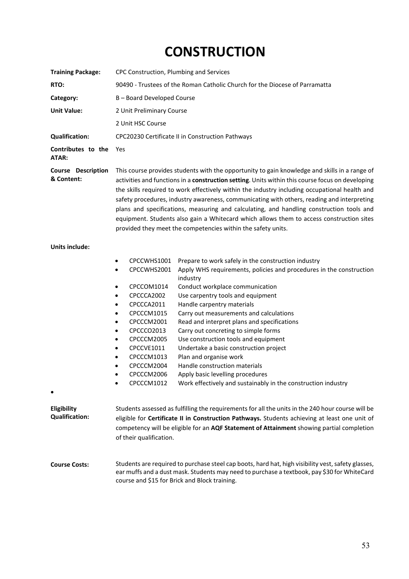## **CONSTRUCTION**

| <b>Training Package:</b>                | CPC Construction, Plumbing and Services                                                                                                                                                                                                                                                                                                                                                                                                                                                                                                                                                                                                                  |                                                                                                                                                                                                                                                                                                                                                                                                                                                                                                                                                                                                                                                                                                                                                                                                                                                                                                                                     |  |
|-----------------------------------------|----------------------------------------------------------------------------------------------------------------------------------------------------------------------------------------------------------------------------------------------------------------------------------------------------------------------------------------------------------------------------------------------------------------------------------------------------------------------------------------------------------------------------------------------------------------------------------------------------------------------------------------------------------|-------------------------------------------------------------------------------------------------------------------------------------------------------------------------------------------------------------------------------------------------------------------------------------------------------------------------------------------------------------------------------------------------------------------------------------------------------------------------------------------------------------------------------------------------------------------------------------------------------------------------------------------------------------------------------------------------------------------------------------------------------------------------------------------------------------------------------------------------------------------------------------------------------------------------------------|--|
| RTO:                                    | 90490 - Trustees of the Roman Catholic Church for the Diocese of Parramatta                                                                                                                                                                                                                                                                                                                                                                                                                                                                                                                                                                              |                                                                                                                                                                                                                                                                                                                                                                                                                                                                                                                                                                                                                                                                                                                                                                                                                                                                                                                                     |  |
| Category:                               | B-Board Developed Course                                                                                                                                                                                                                                                                                                                                                                                                                                                                                                                                                                                                                                 |                                                                                                                                                                                                                                                                                                                                                                                                                                                                                                                                                                                                                                                                                                                                                                                                                                                                                                                                     |  |
| <b>Unit Value:</b>                      | 2 Unit Preliminary Course                                                                                                                                                                                                                                                                                                                                                                                                                                                                                                                                                                                                                                |                                                                                                                                                                                                                                                                                                                                                                                                                                                                                                                                                                                                                                                                                                                                                                                                                                                                                                                                     |  |
|                                         | 2 Unit HSC Course                                                                                                                                                                                                                                                                                                                                                                                                                                                                                                                                                                                                                                        |                                                                                                                                                                                                                                                                                                                                                                                                                                                                                                                                                                                                                                                                                                                                                                                                                                                                                                                                     |  |
| <b>Qualification:</b>                   |                                                                                                                                                                                                                                                                                                                                                                                                                                                                                                                                                                                                                                                          | CPC20230 Certificate II in Construction Pathways                                                                                                                                                                                                                                                                                                                                                                                                                                                                                                                                                                                                                                                                                                                                                                                                                                                                                    |  |
| Contributes to the<br>ATAR:             | Yes                                                                                                                                                                                                                                                                                                                                                                                                                                                                                                                                                                                                                                                      |                                                                                                                                                                                                                                                                                                                                                                                                                                                                                                                                                                                                                                                                                                                                                                                                                                                                                                                                     |  |
| <b>Course Description</b><br>& Content: | This course provides students with the opportunity to gain knowledge and skills in a range of<br>activities and functions in a construction setting. Units within this course focus on developing<br>the skills required to work effectively within the industry including occupational health and<br>safety procedures, industry awareness, communicating with others, reading and interpreting<br>plans and specifications, measuring and calculating, and handling construction tools and<br>equipment. Students also gain a Whitecard which allows them to access construction sites<br>provided they meet the competencies within the safety units. |                                                                                                                                                                                                                                                                                                                                                                                                                                                                                                                                                                                                                                                                                                                                                                                                                                                                                                                                     |  |
| <b>Units include:</b>                   |                                                                                                                                                                                                                                                                                                                                                                                                                                                                                                                                                                                                                                                          |                                                                                                                                                                                                                                                                                                                                                                                                                                                                                                                                                                                                                                                                                                                                                                                                                                                                                                                                     |  |
| Eligibility<br><b>Qualification:</b>    | CPCCWHS1001<br>٠<br>CPCCWHS2001<br>٠<br>CPCCOM1014<br>٠<br>CPCCCA2002<br>٠<br>CPCCCA2011<br>٠<br>CPCCCM1015<br>٠<br>CPCCCM2001<br>٠<br>CPCCCO2013<br>$\bullet$<br>CPCCCM2005<br>$\bullet$<br>CPCCVE1011<br>$\bullet$<br>CPCCCM1013<br>٠<br>CPCCCM2004<br>CPCCCM2006<br>CPCCCM1012                                                                                                                                                                                                                                                                                                                                                                        | Prepare to work safely in the construction industry<br>Apply WHS requirements, policies and procedures in the construction<br>industry<br>Conduct workplace communication<br>Use carpentry tools and equipment<br>Handle carpentry materials<br>Carry out measurements and calculations<br>Read and interpret plans and specifications<br>Carry out concreting to simple forms<br>Use construction tools and equipment<br>Undertake a basic construction project<br>Plan and organise work<br>Handle construction materials<br>Apply basic levelling procedures<br>Work effectively and sustainably in the construction industry<br>Students assessed as fulfilling the requirements for all the units in the 240 hour course will be<br>eligible for Certificate II in Construction Pathways. Students achieving at least one unit of<br>competency will be eligible for an AQF Statement of Attainment showing partial completion |  |
| <b>Course Costs:</b>                    | of their qualification.<br>course and \$15 for Brick and Block training.                                                                                                                                                                                                                                                                                                                                                                                                                                                                                                                                                                                 | Students are required to purchase steel cap boots, hard hat, high visibility vest, safety glasses,<br>ear muffs and a dust mask. Students may need to purchase a textbook, pay \$30 for WhiteCard                                                                                                                                                                                                                                                                                                                                                                                                                                                                                                                                                                                                                                                                                                                                   |  |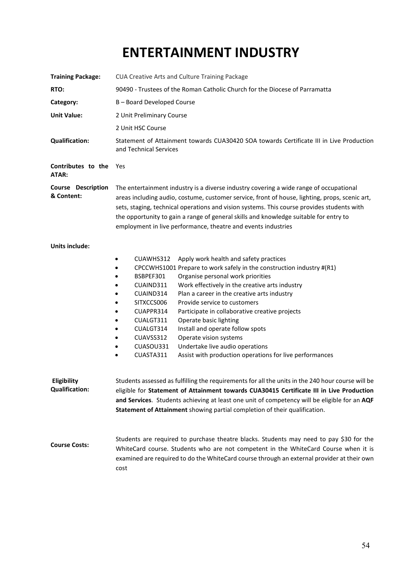## **ENTERTAINMENT INDUSTRY**

| <b>Training Package:</b>                    | CUA Creative Arts and Culture Training Package                                                                                                                                                                                                                                                                                                                                                                                                                                                                                                                                                                                                                                          |  |  |  |
|---------------------------------------------|-----------------------------------------------------------------------------------------------------------------------------------------------------------------------------------------------------------------------------------------------------------------------------------------------------------------------------------------------------------------------------------------------------------------------------------------------------------------------------------------------------------------------------------------------------------------------------------------------------------------------------------------------------------------------------------------|--|--|--|
| RTO:                                        | 90490 - Trustees of the Roman Catholic Church for the Diocese of Parramatta                                                                                                                                                                                                                                                                                                                                                                                                                                                                                                                                                                                                             |  |  |  |
| Category:                                   | B-Board Developed Course                                                                                                                                                                                                                                                                                                                                                                                                                                                                                                                                                                                                                                                                |  |  |  |
| <b>Unit Value:</b>                          | 2 Unit Preliminary Course                                                                                                                                                                                                                                                                                                                                                                                                                                                                                                                                                                                                                                                               |  |  |  |
|                                             | 2 Unit HSC Course                                                                                                                                                                                                                                                                                                                                                                                                                                                                                                                                                                                                                                                                       |  |  |  |
| <b>Qualification:</b>                       | Statement of Attainment towards CUA30420 SOA towards Certificate III in Live Production<br>and Technical Services                                                                                                                                                                                                                                                                                                                                                                                                                                                                                                                                                                       |  |  |  |
| Contributes to the<br>ATAR:                 | Yes                                                                                                                                                                                                                                                                                                                                                                                                                                                                                                                                                                                                                                                                                     |  |  |  |
| <b>Course Description</b><br>& Content:     | The entertainment industry is a diverse industry covering a wide range of occupational<br>areas including audio, costume, customer service, front of house, lighting, props, scenic art,<br>sets, staging, technical operations and vision systems. This course provides students with<br>the opportunity to gain a range of general skills and knowledge suitable for entry to<br>employment in live performance, theatre and events industries                                                                                                                                                                                                                                        |  |  |  |
| <b>Units include:</b>                       |                                                                                                                                                                                                                                                                                                                                                                                                                                                                                                                                                                                                                                                                                         |  |  |  |
|                                             | Apply work health and safety practices<br>CUAWHS312<br>٠<br>CPCCWHS1001 Prepare to work safely in the construction industry #(R1)<br>Organise personal work priorities<br>BSBPEF301<br>Work effectively in the creative arts industry<br>CUAIND311<br>CUAIND314<br>Plan a career in the creative arts industry<br>Provide service to customers<br>SITXCCS006<br>CUAPPR314<br>Participate in collaborative creative projects<br>CUALGT311<br>Operate basic lighting<br>Install and operate follow spots<br>CUALGT314<br>Operate vision systems<br>CUAVSS312<br>٠<br>CUASOU331<br>Undertake live audio operations<br>CUASTA311<br>Assist with production operations for live performances |  |  |  |
| <b>Eligibility</b><br><b>Qualification:</b> | Students assessed as fulfilling the requirements for all the units in the 240 hour course will be<br>eligible for Statement of Attainment towards CUA30415 Certificate III in Live Production<br>and Services. Students achieving at least one unit of competency will be eligible for an AQF<br>Statement of Attainment showing partial completion of their qualification.                                                                                                                                                                                                                                                                                                             |  |  |  |
| <b>Course Costs:</b>                        | Students are required to purchase theatre blacks. Students may need to pay \$30 for the<br>WhiteCard course. Students who are not competent in the WhiteCard Course when it is<br>examined are required to do the WhiteCard course through an external provider at their own<br>cost                                                                                                                                                                                                                                                                                                                                                                                                    |  |  |  |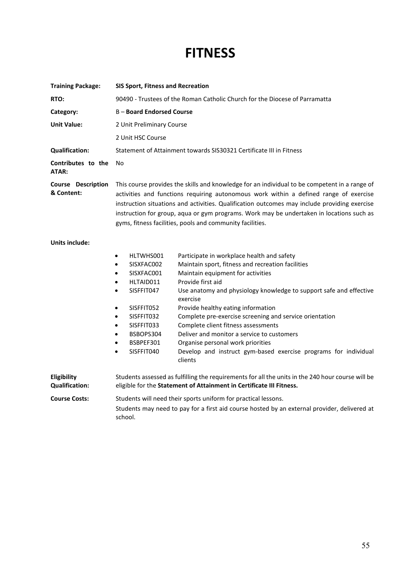## **FITNESS**

| <b>Training Package:</b>                | <b>SIS Sport, Fitness and Recreation</b>                                                                                                                                                                                                                                                                                                                                                                                                        |                                                                                 |  |
|-----------------------------------------|-------------------------------------------------------------------------------------------------------------------------------------------------------------------------------------------------------------------------------------------------------------------------------------------------------------------------------------------------------------------------------------------------------------------------------------------------|---------------------------------------------------------------------------------|--|
| RTO:                                    | 90490 - Trustees of the Roman Catholic Church for the Diocese of Parramatta                                                                                                                                                                                                                                                                                                                                                                     |                                                                                 |  |
| Category:                               | <b>B-Board Endorsed Course</b>                                                                                                                                                                                                                                                                                                                                                                                                                  |                                                                                 |  |
| <b>Unit Value:</b>                      | 2 Unit Preliminary Course                                                                                                                                                                                                                                                                                                                                                                                                                       |                                                                                 |  |
|                                         | 2 Unit HSC Course                                                                                                                                                                                                                                                                                                                                                                                                                               |                                                                                 |  |
| <b>Qualification:</b>                   | Statement of Attainment towards SIS30321 Certificate III in Fitness                                                                                                                                                                                                                                                                                                                                                                             |                                                                                 |  |
| Contributes to the<br>ATAR:             | No                                                                                                                                                                                                                                                                                                                                                                                                                                              |                                                                                 |  |
| <b>Course Description</b><br>& Content: | This course provides the skills and knowledge for an individual to be competent in a range of<br>activities and functions requiring autonomous work within a defined range of exercise<br>instruction situations and activities. Qualification outcomes may include providing exercise<br>instruction for group, aqua or gym programs. Work may be undertaken in locations such as<br>gyms, fitness facilities, pools and community facilities. |                                                                                 |  |
| <b>Units include:</b>                   | HLTWHS001<br>٠                                                                                                                                                                                                                                                                                                                                                                                                                                  | Participate in workplace health and safety                                      |  |
|                                         | SISXFAC002<br>$\bullet$                                                                                                                                                                                                                                                                                                                                                                                                                         | Maintain sport, fitness and recreation facilities                               |  |
|                                         | SISXFAC001<br>$\bullet$                                                                                                                                                                                                                                                                                                                                                                                                                         | Maintain equipment for activities                                               |  |
|                                         | HLTAID011<br>$\bullet$                                                                                                                                                                                                                                                                                                                                                                                                                          | Provide first aid                                                               |  |
|                                         | SISFFIT047<br>$\bullet$                                                                                                                                                                                                                                                                                                                                                                                                                         | Use anatomy and physiology knowledge to support safe and effective<br>exercise  |  |
|                                         | SISFFIT052<br>٠                                                                                                                                                                                                                                                                                                                                                                                                                                 | Provide healthy eating information                                              |  |
|                                         | SISFFIT032<br>٠                                                                                                                                                                                                                                                                                                                                                                                                                                 | Complete pre-exercise screening and service orientation                         |  |
|                                         | SISFFIT033<br>$\bullet$                                                                                                                                                                                                                                                                                                                                                                                                                         | Complete client fitness assessments                                             |  |
|                                         | BSBOPS304<br>$\bullet$<br>BSBPEF301<br>$\bullet$                                                                                                                                                                                                                                                                                                                                                                                                | Deliver and monitor a service to customers<br>Organise personal work priorities |  |
|                                         | SISFFIT040<br>٠                                                                                                                                                                                                                                                                                                                                                                                                                                 | Develop and instruct gym-based exercise programs for individual<br>clients      |  |
| Eligibility<br><b>Qualification:</b>    | Students assessed as fulfilling the requirements for all the units in the 240 hour course will be<br>eligible for the Statement of Attainment in Certificate III Fitness.                                                                                                                                                                                                                                                                       |                                                                                 |  |
| <b>Course Costs:</b>                    |                                                                                                                                                                                                                                                                                                                                                                                                                                                 | Students will need their sports uniform for practical lessons.                  |  |
|                                         | Students may need to pay for a first aid course hosted by an external provider, delivered at<br>school.                                                                                                                                                                                                                                                                                                                                         |                                                                                 |  |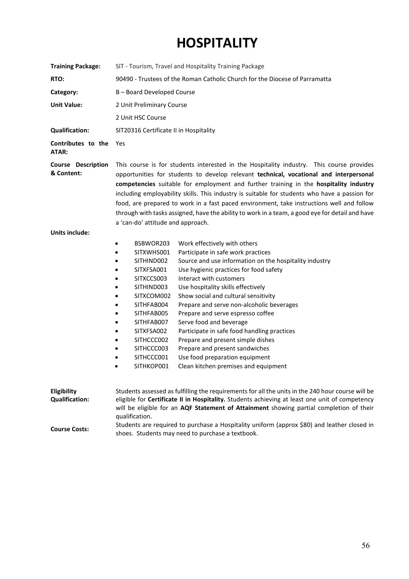## **HOSPITALITY**

| <b>Training Package:</b>                | SIT - Tourism, Travel and Hospitality Training Package                                                                                                                                                                                                                                                                                                                                                                                                                                                                                                                                                                                                                                                                                                                                                                                                 |  |  |
|-----------------------------------------|--------------------------------------------------------------------------------------------------------------------------------------------------------------------------------------------------------------------------------------------------------------------------------------------------------------------------------------------------------------------------------------------------------------------------------------------------------------------------------------------------------------------------------------------------------------------------------------------------------------------------------------------------------------------------------------------------------------------------------------------------------------------------------------------------------------------------------------------------------|--|--|
| RTO:                                    | 90490 - Trustees of the Roman Catholic Church for the Diocese of Parramatta                                                                                                                                                                                                                                                                                                                                                                                                                                                                                                                                                                                                                                                                                                                                                                            |  |  |
| Category:                               | B-Board Developed Course                                                                                                                                                                                                                                                                                                                                                                                                                                                                                                                                                                                                                                                                                                                                                                                                                               |  |  |
| <b>Unit Value:</b>                      | 2 Unit Preliminary Course                                                                                                                                                                                                                                                                                                                                                                                                                                                                                                                                                                                                                                                                                                                                                                                                                              |  |  |
|                                         | 2 Unit HSC Course                                                                                                                                                                                                                                                                                                                                                                                                                                                                                                                                                                                                                                                                                                                                                                                                                                      |  |  |
| <b>Qualification:</b>                   |                                                                                                                                                                                                                                                                                                                                                                                                                                                                                                                                                                                                                                                                                                                                                                                                                                                        |  |  |
|                                         | SIT20316 Certificate II in Hospitality                                                                                                                                                                                                                                                                                                                                                                                                                                                                                                                                                                                                                                                                                                                                                                                                                 |  |  |
| Contributes to the<br>ATAR:             | Yes                                                                                                                                                                                                                                                                                                                                                                                                                                                                                                                                                                                                                                                                                                                                                                                                                                                    |  |  |
| <b>Course Description</b><br>& Content: | This course is for students interested in the Hospitality industry. This course provides<br>opportunities for students to develop relevant technical, vocational and interpersonal<br>competencies suitable for employment and further training in the hospitality industry<br>including employability skills. This industry is suitable for students who have a passion for<br>food, are prepared to work in a fast paced environment, take instructions well and follow<br>through with tasks assigned, have the ability to work in a team, a good eye for detail and have<br>a 'can-do' attitude and approach.                                                                                                                                                                                                                                      |  |  |
| Units include:                          |                                                                                                                                                                                                                                                                                                                                                                                                                                                                                                                                                                                                                                                                                                                                                                                                                                                        |  |  |
|                                         | BSBWOR203<br>Work effectively with others<br>٠<br>Participate in safe work practices<br>SITXWHS001<br>$\bullet$<br>Source and use information on the hospitality industry<br>SITHIND002<br>SITXFSA001<br>Use hygienic practices for food safety<br>SITXCCS003<br>Interact with customers<br>Use hospitality skills effectively<br>SITHIND003<br>Show social and cultural sensitivity<br>SITXCOM002<br>Prepare and serve non-alcoholic beverages<br>SITHFAB004<br>SITHFAB005<br>Prepare and serve espresso coffee<br>٠<br>Serve food and beverage<br>SITHFAB007<br>٠<br>SITXFSA002<br>Participate in safe food handling practices<br>$\bullet$<br>Prepare and present simple dishes<br>SITHCCC002<br>SITHCCC003<br>Prepare and present sandwiches<br>SITHCCC001<br>Use food preparation equipment<br>SITHKOP001<br>Clean kitchen premises and equipment |  |  |
| Eligibility<br><b>Qualification:</b>    | Students assessed as fulfilling the requirements for all the units in the 240 hour course will be<br>eligible for Certificate II in Hospitality. Students achieving at least one unit of competency<br>will be eligible for an AQF Statement of Attainment showing partial completion of their<br>qualification.                                                                                                                                                                                                                                                                                                                                                                                                                                                                                                                                       |  |  |
| <b>Course Costs:</b>                    | Students are required to purchase a Hospitality uniform (approx \$80) and leather closed in<br>shoes. Students may need to purchase a textbook.                                                                                                                                                                                                                                                                                                                                                                                                                                                                                                                                                                                                                                                                                                        |  |  |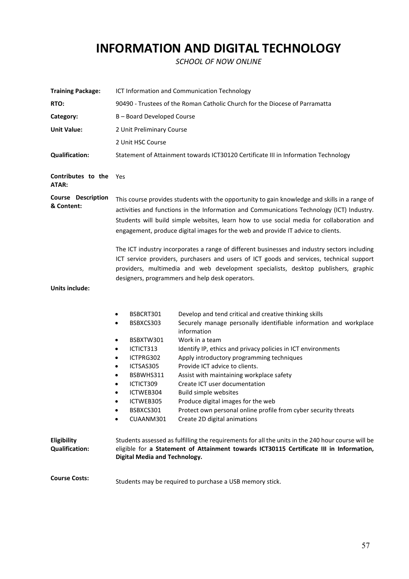## **INFORMATION AND DIGITAL TECHNOLOGY**

*SCHOOL OF NOW ONLINE*

| <b>Training Package:</b>                | ICT Information and Communication Technology                                                                                                                                                                                                                                                                                                                                                                                                                                                                                                                                                                                                                                                                                                                                                                               |  |  |  |
|-----------------------------------------|----------------------------------------------------------------------------------------------------------------------------------------------------------------------------------------------------------------------------------------------------------------------------------------------------------------------------------------------------------------------------------------------------------------------------------------------------------------------------------------------------------------------------------------------------------------------------------------------------------------------------------------------------------------------------------------------------------------------------------------------------------------------------------------------------------------------------|--|--|--|
| RTO:                                    | 90490 - Trustees of the Roman Catholic Church for the Diocese of Parramatta                                                                                                                                                                                                                                                                                                                                                                                                                                                                                                                                                                                                                                                                                                                                                |  |  |  |
| Category:                               | B-Board Developed Course                                                                                                                                                                                                                                                                                                                                                                                                                                                                                                                                                                                                                                                                                                                                                                                                   |  |  |  |
| <b>Unit Value:</b>                      | 2 Unit Preliminary Course                                                                                                                                                                                                                                                                                                                                                                                                                                                                                                                                                                                                                                                                                                                                                                                                  |  |  |  |
|                                         | 2 Unit HSC Course                                                                                                                                                                                                                                                                                                                                                                                                                                                                                                                                                                                                                                                                                                                                                                                                          |  |  |  |
| <b>Qualification:</b>                   | Statement of Attainment towards ICT30120 Certificate III in Information Technology                                                                                                                                                                                                                                                                                                                                                                                                                                                                                                                                                                                                                                                                                                                                         |  |  |  |
| <b>Contributes to the Yes</b><br>ATAR:  |                                                                                                                                                                                                                                                                                                                                                                                                                                                                                                                                                                                                                                                                                                                                                                                                                            |  |  |  |
| <b>Course Description</b><br>& Content: | This course provides students with the opportunity to gain knowledge and skills in a range of<br>activities and functions in the Information and Communications Technology (ICT) Industry.<br>Students will build simple websites, learn how to use social media for collaboration and<br>engagement, produce digital images for the web and provide IT advice to clients.                                                                                                                                                                                                                                                                                                                                                                                                                                                 |  |  |  |
| <b>Units include:</b>                   | The ICT industry incorporates a range of different businesses and industry sectors including<br>ICT service providers, purchasers and users of ICT goods and services, technical support<br>providers, multimedia and web development specialists, desktop publishers, graphic<br>designers, programmers and help desk operators.                                                                                                                                                                                                                                                                                                                                                                                                                                                                                          |  |  |  |
|                                         | BSBCRT301<br>Develop and tend critical and creative thinking skills<br>٠<br>Securely manage personally identifiable information and workplace<br>BSBXCS303<br>$\bullet$<br>information<br>Work in a team<br>BSBXTW301<br>٠<br>Identify IP, ethics and privacy policies in ICT environments<br>ICTICT313<br>٠<br>ICTPRG302<br>Apply introductory programming techniques<br>$\bullet$<br>Provide ICT advice to clients.<br>ICTSAS305<br>$\bullet$<br>BSBWHS311<br>Assist with maintaining workplace safety<br>$\bullet$<br>Create ICT user documentation<br>ICTICT309<br>ICTWEB304<br><b>Build simple websites</b><br>ICTWEB305<br>Produce digital images for the web<br>$\bullet$<br>BSBXCS301<br>Protect own personal online profile from cyber security threats<br>Create 2D digital animations<br>CUAANM301<br>$\bullet$ |  |  |  |
| Eligibility<br><b>Qualification:</b>    | Students assessed as fulfilling the requirements for all the units in the 240 hour course will be<br>eligible for a Statement of Attainment towards ICT30115 Certificate III in Information,<br><b>Digital Media and Technology.</b>                                                                                                                                                                                                                                                                                                                                                                                                                                                                                                                                                                                       |  |  |  |
| <b>Course Costs:</b>                    | Students may be required to purchase a USB memory stick.                                                                                                                                                                                                                                                                                                                                                                                                                                                                                                                                                                                                                                                                                                                                                                   |  |  |  |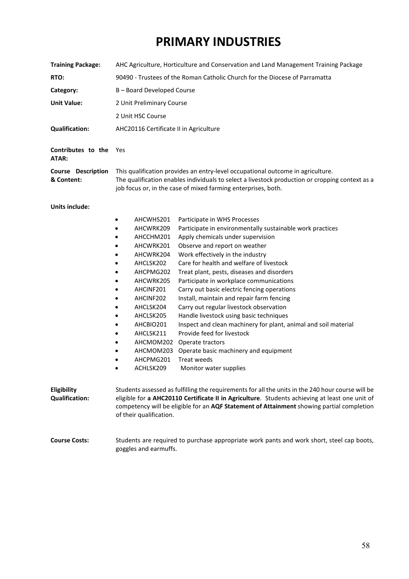## **PRIMARY INDUSTRIES**

| <b>Training Package:</b>                | AHC Agriculture, Horticulture and Conservation and Land Management Training Package                                                                                                                                                                                                                                                                                                                                                                                                                                                                                                                                                                                                                                                                                                                                                                                                                                                                                                |  |  |
|-----------------------------------------|------------------------------------------------------------------------------------------------------------------------------------------------------------------------------------------------------------------------------------------------------------------------------------------------------------------------------------------------------------------------------------------------------------------------------------------------------------------------------------------------------------------------------------------------------------------------------------------------------------------------------------------------------------------------------------------------------------------------------------------------------------------------------------------------------------------------------------------------------------------------------------------------------------------------------------------------------------------------------------|--|--|
| RTO:                                    | 90490 - Trustees of the Roman Catholic Church for the Diocese of Parramatta                                                                                                                                                                                                                                                                                                                                                                                                                                                                                                                                                                                                                                                                                                                                                                                                                                                                                                        |  |  |
| Category:                               | B-Board Developed Course                                                                                                                                                                                                                                                                                                                                                                                                                                                                                                                                                                                                                                                                                                                                                                                                                                                                                                                                                           |  |  |
| <b>Unit Value:</b>                      | 2 Unit Preliminary Course                                                                                                                                                                                                                                                                                                                                                                                                                                                                                                                                                                                                                                                                                                                                                                                                                                                                                                                                                          |  |  |
|                                         | 2 Unit HSC Course                                                                                                                                                                                                                                                                                                                                                                                                                                                                                                                                                                                                                                                                                                                                                                                                                                                                                                                                                                  |  |  |
| <b>Qualification:</b>                   | AHC20116 Certificate II in Agriculture                                                                                                                                                                                                                                                                                                                                                                                                                                                                                                                                                                                                                                                                                                                                                                                                                                                                                                                                             |  |  |
| Contributes to the<br>ATAR:             | Yes                                                                                                                                                                                                                                                                                                                                                                                                                                                                                                                                                                                                                                                                                                                                                                                                                                                                                                                                                                                |  |  |
| <b>Course Description</b><br>& Content: | This qualification provides an entry-level occupational outcome in agriculture.<br>The qualification enables individuals to select a livestock production or cropping context as a<br>job focus or, in the case of mixed farming enterprises, both.                                                                                                                                                                                                                                                                                                                                                                                                                                                                                                                                                                                                                                                                                                                                |  |  |
| <b>Units include:</b>                   | AHCWHS201<br>Participate in WHS Processes<br>٠<br>Participate in environmentally sustainable work practices<br>AHCWRK209<br>$\bullet$<br>Apply chemicals under supervision<br>AHCCHM201<br>$\bullet$<br>Observe and report on weather<br>AHCWRK201<br>$\bullet$<br>Work effectively in the industry<br>AHCWRK204<br>$\bullet$<br>Care for health and welfare of livestock<br>AHCLSK202<br>Treat plant, pests, diseases and disorders<br>AHCPMG202<br>$\bullet$<br>Participate in workplace communications<br>AHCWRK205<br>$\bullet$<br>Carry out basic electric fencing operations<br>AHCINF201<br>$\bullet$<br>Install, maintain and repair farm fencing<br>AHCINF202<br>$\bullet$<br>Carry out regular livestock observation<br>AHCLSK204<br>$\bullet$<br>Handle livestock using basic techniques<br>AHCLSK205<br>$\bullet$<br>Inspect and clean machinery for plant, animal and soil material<br>AHCBIO201<br>$\bullet$<br>Provide feed for livestock<br>AHCLSK211<br>$\bullet$ |  |  |
|                                         | AHCMOM202 Operate tractors<br>$\bullet$<br>AHCMOM203<br>Operate basic machinery and equipment<br>$\bullet$<br>AHCPMG201<br>Treat weeds<br>ACHLSK209<br>Monitor water supplies                                                                                                                                                                                                                                                                                                                                                                                                                                                                                                                                                                                                                                                                                                                                                                                                      |  |  |
| Eligibility<br><b>Qualification:</b>    | Students assessed as fulfilling the requirements for all the units in the 240 hour course will be<br>eligible for a AHC20110 Certificate II in Agriculture. Students achieving at least one unit of<br>competency will be eligible for an AQF Statement of Attainment showing partial completion<br>of their qualification.                                                                                                                                                                                                                                                                                                                                                                                                                                                                                                                                                                                                                                                        |  |  |
| <b>Course Costs:</b>                    | Students are required to purchase appropriate work pants and work short, steel cap boots,<br>goggles and earmuffs.                                                                                                                                                                                                                                                                                                                                                                                                                                                                                                                                                                                                                                                                                                                                                                                                                                                                 |  |  |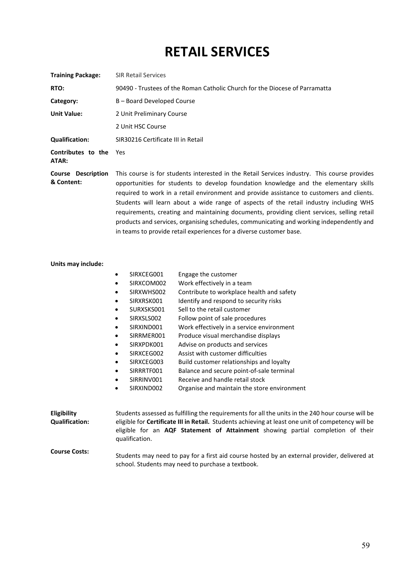## **RETAIL SERVICES**

| <b>Training Package:</b>                | <b>SIR Retail Services</b>                                                                                                                                                                                                                                                                                                                                                                                                                                                                                                                                                                                                                    |  |
|-----------------------------------------|-----------------------------------------------------------------------------------------------------------------------------------------------------------------------------------------------------------------------------------------------------------------------------------------------------------------------------------------------------------------------------------------------------------------------------------------------------------------------------------------------------------------------------------------------------------------------------------------------------------------------------------------------|--|
| RTO:                                    | 90490 - Trustees of the Roman Catholic Church for the Diocese of Parramatta                                                                                                                                                                                                                                                                                                                                                                                                                                                                                                                                                                   |  |
| Category:                               | B - Board Developed Course                                                                                                                                                                                                                                                                                                                                                                                                                                                                                                                                                                                                                    |  |
| <b>Unit Value:</b>                      | 2 Unit Preliminary Course                                                                                                                                                                                                                                                                                                                                                                                                                                                                                                                                                                                                                     |  |
|                                         | 2 Unit HSC Course                                                                                                                                                                                                                                                                                                                                                                                                                                                                                                                                                                                                                             |  |
| <b>Qualification:</b>                   | SIR30216 Certificate III in Retail                                                                                                                                                                                                                                                                                                                                                                                                                                                                                                                                                                                                            |  |
| Contributes to the<br>ATAR:             | Yes                                                                                                                                                                                                                                                                                                                                                                                                                                                                                                                                                                                                                                           |  |
| <b>Course Description</b><br>& Content: | This course is for students interested in the Retail Services industry. This course provides<br>opportunities for students to develop foundation knowledge and the elementary skills<br>required to work in a retail environment and provide assistance to customers and clients.<br>Students will learn about a wide range of aspects of the retail industry including WHS<br>requirements, creating and maintaining documents, providing client services, selling retail<br>products and services, organising schedules, communicating and working independently and<br>in teams to provide retail experiences for a diverse customer base. |  |

#### **Units may include:**

|                                      | SIRXCEG001<br>٠                                                                                                                                                                                                                                                                                                     | Engage the customer                         |  |
|--------------------------------------|---------------------------------------------------------------------------------------------------------------------------------------------------------------------------------------------------------------------------------------------------------------------------------------------------------------------|---------------------------------------------|--|
|                                      | SIRXCOM002<br>٠                                                                                                                                                                                                                                                                                                     | Work effectively in a team                  |  |
|                                      | SIRXWHS002<br>$\bullet$                                                                                                                                                                                                                                                                                             | Contribute to workplace health and safety   |  |
|                                      | SIRXRSK001<br>$\bullet$                                                                                                                                                                                                                                                                                             | Identify and respond to security risks      |  |
|                                      | SURXSKS001<br>٠                                                                                                                                                                                                                                                                                                     | Sell to the retail customer                 |  |
|                                      | SIRXSLS002<br>٠                                                                                                                                                                                                                                                                                                     | Follow point of sale procedures             |  |
|                                      | SIRXIND001<br>$\bullet$                                                                                                                                                                                                                                                                                             | Work effectively in a service environment   |  |
|                                      | SIRRMER001<br>$\bullet$                                                                                                                                                                                                                                                                                             | Produce visual merchandise displays         |  |
|                                      | SIRXPDK001<br>$\bullet$                                                                                                                                                                                                                                                                                             | Advise on products and services             |  |
|                                      | SIRXCEG002<br>$\bullet$                                                                                                                                                                                                                                                                                             | Assist with customer difficulties           |  |
|                                      | SIRXCEG003<br>٠                                                                                                                                                                                                                                                                                                     | Build customer relationships and loyalty    |  |
|                                      | SIRRRTF001<br>$\bullet$                                                                                                                                                                                                                                                                                             | Balance and secure point-of-sale terminal   |  |
|                                      | SIRRINV001<br>٠                                                                                                                                                                                                                                                                                                     | Receive and handle retail stock             |  |
|                                      | SIRXIND002<br>٠                                                                                                                                                                                                                                                                                                     | Organise and maintain the store environment |  |
|                                      |                                                                                                                                                                                                                                                                                                                     |                                             |  |
| Eligibility<br><b>Qualification:</b> | Students assessed as fulfilling the requirements for all the units in the 240 hour course will be<br>eligible for <b>Certificate III in Retail.</b> Students achieving at least one unit of competency will be<br>eligible for an AQF Statement of Attainment showing partial completion of their<br>qualification. |                                             |  |
| <b>Course Costs:</b>                 | Students may need to pay for a first aid course hosted by an external provider, delivered at<br>school. Students may need to purchase a textbook.                                                                                                                                                                   |                                             |  |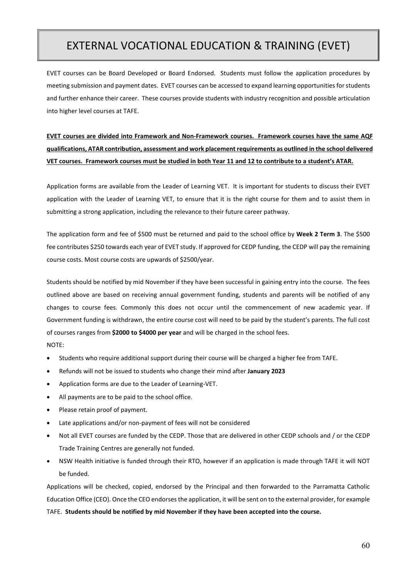## EXTERNAL VOCATIONAL EDUCATION & TRAINING (EVET)

EVET courses can be Board Developed or Board Endorsed. Students must follow the application procedures by meeting submission and payment dates. EVET courses can be accessed to expand learning opportunities for students and further enhance their career. These courses provide students with industry recognition and possible articulation into higher level courses at TAFE.

#### **EVET courses are divided into Framework and Non-Framework courses. Framework courses have the same AQF qualifications, ATAR contribution, assessment and work placement requirements as outlined in the school delivered VET courses. Framework courses must be studied in both Year 11 and 12 to contribute to a student's ATAR.**

Application forms are available from the Leader of Learning VET. It is important for students to discuss their EVET application with the Leader of Learning VET, to ensure that it is the right course for them and to assist them in submitting a strong application, including the relevance to their future career pathway.

The application form and fee of \$500 must be returned and paid to the school office by **Week 2 Term 3**. The \$500 fee contributes \$250 towards each year of EVET study. If approved for CEDP funding, the CEDP will pay the remaining course costs. Most course costs are upwards of \$2500/year.

Students should be notified by mid November if they have been successful in gaining entry into the course. The fees outlined above are based on receiving annual government funding, students and parents will be notified of any changes to course fees. Commonly this does not occur until the commencement of new academic year. If Government funding is withdrawn, the entire course cost will need to be paid by the student's parents. The full cost of courses ranges from **\$2000 to \$4000 per year** and will be charged in the school fees.

NOTE:

- Students who require additional support during their course will be charged a higher fee from TAFE.
- Refunds will not be issued to students who change their mind after **January 2023**
- Application forms are due to the Leader of Learning-VET.
- All payments are to be paid to the school office.
- Please retain proof of payment.
- Late applications and/or non-payment of fees will not be considered
- Not all EVET courses are funded by the CEDP. Those that are delivered in other CEDP schools and / or the CEDP Trade Training Centres are generally not funded.
- NSW Health initiative is funded through their RTO, however if an application is made through TAFE it will NOT be funded.

Applications will be checked, copied, endorsed by the Principal and then forwarded to the Parramatta Catholic Education Office (CEO). Once the CEO endorses the application, it will be sent on to the external provider, for example TAFE. **Students should be notified by mid November if they have been accepted into the course.**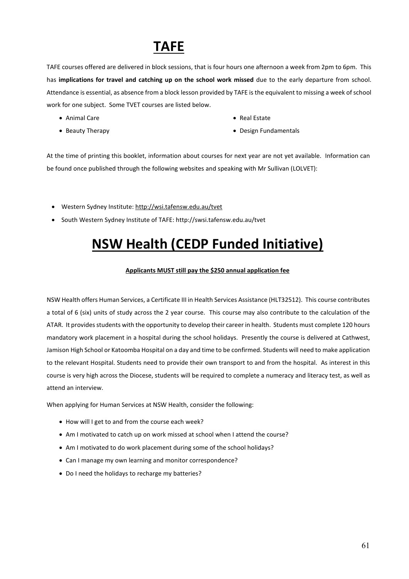## **TAFE**

TAFE courses offered are delivered in block sessions, that is four hours one afternoon a week from 2pm to 6pm. This has **implications for travel and catching up on the school work missed** due to the early departure from school. Attendance is essential, as absence from a block lesson provided by TAFE is the equivalent to missing a week of school work for one subject. Some TVET courses are listed below.

- Animal Care
- Beauty Therapy
- Real Estate
- Design Fundamentals

At the time of printing this booklet, information about courses for next year are not yet available. Information can be found once published through the following websites and speaking with Mr Sullivan (LOLVET):

- Western Sydney Institute:<http://wsi.tafensw.edu.au/tvet>
- South Western Sydney Institute of TAFE: http://swsi.tafensw.edu.au/tvet

## **NSW Health (CEDP Funded Initiative)**

#### **Applicants MUST still pay the \$250 annual application fee**

NSW Health offers Human Services, a Certificate III in Health Services Assistance (HLT32512). This course contributes a total of 6 (six) units of study across the 2 year course. This course may also contribute to the calculation of the ATAR. It provides students with the opportunity to develop their career in health. Students must complete 120 hours mandatory work placement in a hospital during the school holidays. Presently the course is delivered at Cathwest, Jamison High School or Katoomba Hospital on a day and time to be confirmed. Students will need to make application to the relevant Hospital. Students need to provide their own transport to and from the hospital.As interest in this course is very high across the Diocese, students will be required to complete a numeracy and literacy test, as well as attend an interview.

When applying for Human Services at NSW Health, consider the following:

- How will I get to and from the course each week?
- Am I motivated to catch up on work missed at school when I attend the course?
- Am I motivated to do work placement during some of the school holidays?
- Can I manage my own learning and monitor correspondence?
- Do I need the holidays to recharge my batteries?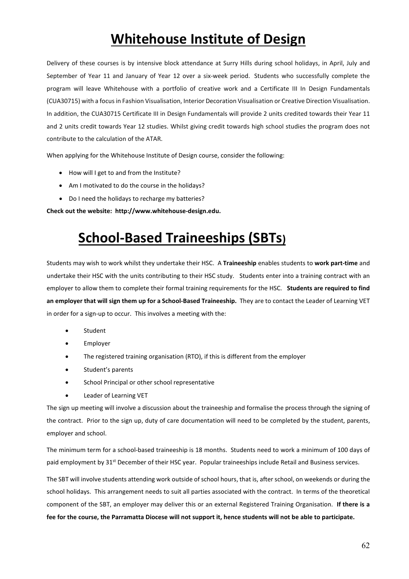## **Whitehouse Institute of Design**

Delivery of these courses is by intensive block attendance at Surry Hills during school holidays, in April, July and September of Year 11 and January of Year 12 over a six-week period. Students who successfully complete the program will leave Whitehouse with a portfolio of creative work and a Certificate III In Design Fundamentals (CUA30715) with a focus in Fashion Visualisation, Interior Decoration Visualisation or Creative Direction Visualisation. In addition, the CUA30715 Certificate III in Design Fundamentals will provide 2 units credited towards their Year 11 and 2 units credit towards Year 12 studies. Whilst giving credit towards high school studies the program does not contribute to the calculation of the ATAR.

When applying for the Whitehouse Institute of Design course, consider the following:

- How will I get to and from the Institute?
- Am I motivated to do the course in the holidays?
- Do I need the holidays to recharge my batteries?

**Check out the website: http://www.whitehouse-design.edu.**

## **School-Based Traineeships (SBTs)**

Students may wish to work whilst they undertake their HSC. A **Traineeship** enables students to **work part-time** and undertake their HSC with the units contributing to their HSC study. Students enter into a training contract with an employer to allow them to complete their formal training requirements for the HSC. **Students are required to find an employer that will sign them up for a School-Based Traineeship.** They are to contact the Leader of Learning VET in order for a sign-up to occur. This involves a meeting with the:

- Student
- Employer
- The registered training organisation (RTO), if this is different from the employer
- Student's parents
- School Principal or other school representative
- Leader of Learning VET

The sign up meeting will involve a discussion about the traineeship and formalise the process through the signing of the contract. Prior to the sign up, duty of care documentation will need to be completed by the student, parents, employer and school.

The minimum term for a school-based traineeship is 18 months. Students need to work a minimum of 100 days of paid employment by 31<sup>st</sup> December of their HSC year. Popular traineeships include Retail and Business services.

The SBT will involve students attending work outside of school hours, that is, after school, on weekends or during the school holidays. This arrangement needs to suit all parties associated with the contract. In terms of the theoretical component of the SBT, an employer may deliver this or an external Registered Training Organisation. **If there is a fee for the course, the Parramatta Diocese will not support it, hence students will not be able to participate.**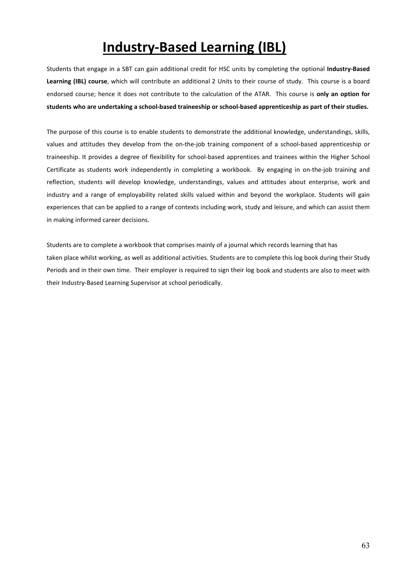## **Industry-Based Learning (IBL)**

Students that engage in a SBT can gain additional credit for HSC units by completing the optional **Industry-Based Learning (IBL) course**, which will contribute an additional 2 Units to their course of study. This course is a board endorsed course; hence it does not contribute to the calculation of the ATAR. This course is **only an option for students who are undertaking a school-based traineeship or school-based apprenticeship as part of their studies.** 

The purpose of this course is to enable students to demonstrate the additional knowledge, understandings, skills, values and attitudes they develop from the on-the-job training component of a school-based apprenticeship or traineeship. It provides a degree of flexibility for school-based apprentices and trainees within the Higher School Certificate as students work independently in completing a workbook. By engaging in on-the-job training and reflection, students will develop knowledge, understandings, values and attitudes about enterprise, work and industry and a range of employability related skills valued within and beyond the workplace. Students will gain experiences that can be applied to a range of contexts including work, study and leisure, and which can assist them in making informed career decisions.

Students are to complete a workbook that comprises mainly of a journal which records learning that has taken place whilst working, as well as additional activities. Students are to complete this log book during their Study Periods and in their own time. Their employer is required to sign their log book and students are also to meet with their Industry-Based Learning Supervisor at school periodically.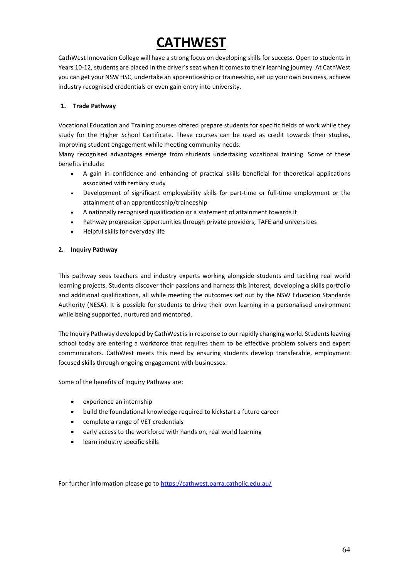## **CATHWEST**

CathWest Innovation College will have a strong focus on developing skills for success. Open to students in Years 10-12, students are placed in the driver's seat when it comes to their learning journey. At CathWest you can get your NSW HSC, undertake an apprenticeship or traineeship, set up your own business, achieve industry recognised credentials or even gain entry into university.

#### **1. Trade Pathway**

Vocational Education and Training courses offered prepare students for specific fields of work while they study for the Higher School Certificate. These courses can be used as credit towards their studies, improving student engagement while meeting community needs.

Many recognised advantages emerge from students undertaking vocational training. Some of these benefits include:

- A gain in confidence and enhancing of practical skills beneficial for theoretical applications associated with tertiary study
- Development of significant employability skills for part-time or full-time employment or the attainment of an apprenticeship/traineeship
- A nationally recognised qualification or a statement of attainment towards it
- Pathway progression opportunities through private providers, TAFE and universities
- Helpful skills for everyday life

#### **2. Inquiry Pathway**

This pathway sees teachers and industry experts working alongside students and tackling real world learning projects. Students discover their passions and harness this interest, developing a skills portfolio and additional qualifications, all while meeting the outcomes set out by the NSW Education Standards Authority (NESA). It is possible for students to drive their own learning in a personalised environment while being supported, nurtured and mentored.

The Inquiry Pathway developed by CathWest is in response to our rapidly changing world. Students leaving school today are entering a workforce that requires them to be effective problem solvers and expert communicators. CathWest meets this need by ensuring students develop transferable, employment focused skills through ongoing engagement with businesses.

Some of the benefits of Inquiry Pathway are:

- experience an internship
- build the foundational knowledge required to kickstart a future career
- complete a range of VET credentials
- early access to the workforce with hands on, real world learning
- learn industry specific skills

For further information please go to <https://cathwest.parra.catholic.edu.au/>